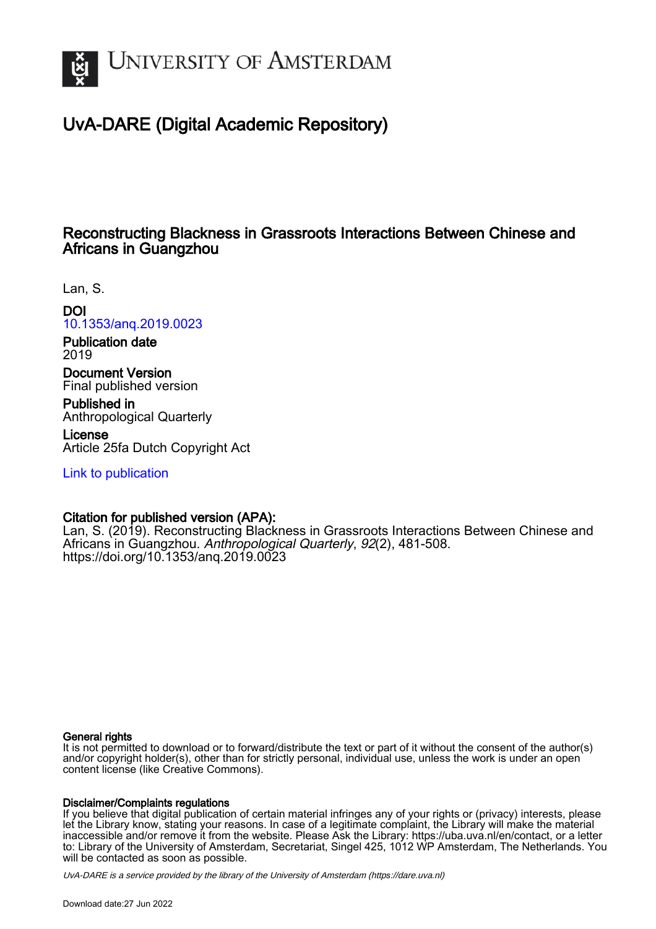

# UvA-DARE (Digital Academic Repository)

# Reconstructing Blackness in Grassroots Interactions Between Chinese and Africans in Guangzhou

Lan, S.

DOI [10.1353/anq.2019.0023](https://doi.org/10.1353/anq.2019.0023)

Publication date 2019

Document Version Final published version

Published in Anthropological Quarterly

License Article 25fa Dutch Copyright Act

[Link to publication](https://dare.uva.nl/personal/pure/en/publications/reconstructing-blackness-in-grassroots-interactions-between-chinese-and-africans-in-guangzhou(95d75ea7-985e-46b4-8769-282af3f7f9b6).html)

# Citation for published version (APA):

Lan, S. (2019). Reconstructing Blackness in Grassroots Interactions Between Chinese and Africans in Guangzhou. Anthropological Quarterly, 92(2), 481-508. <https://doi.org/10.1353/anq.2019.0023>

#### General rights

It is not permitted to download or to forward/distribute the text or part of it without the consent of the author(s) and/or copyright holder(s), other than for strictly personal, individual use, unless the work is under an open content license (like Creative Commons).

#### Disclaimer/Complaints regulations

If you believe that digital publication of certain material infringes any of your rights or (privacy) interests, please let the Library know, stating your reasons. In case of a legitimate complaint, the Library will make the material inaccessible and/or remove it from the website. Please Ask the Library: https://uba.uva.nl/en/contact, or a letter to: Library of the University of Amsterdam, Secretariat, Singel 425, 1012 WP Amsterdam, The Netherlands. You will be contacted as soon as possible.

UvA-DARE is a service provided by the library of the University of Amsterdam (http*s*://dare.uva.nl)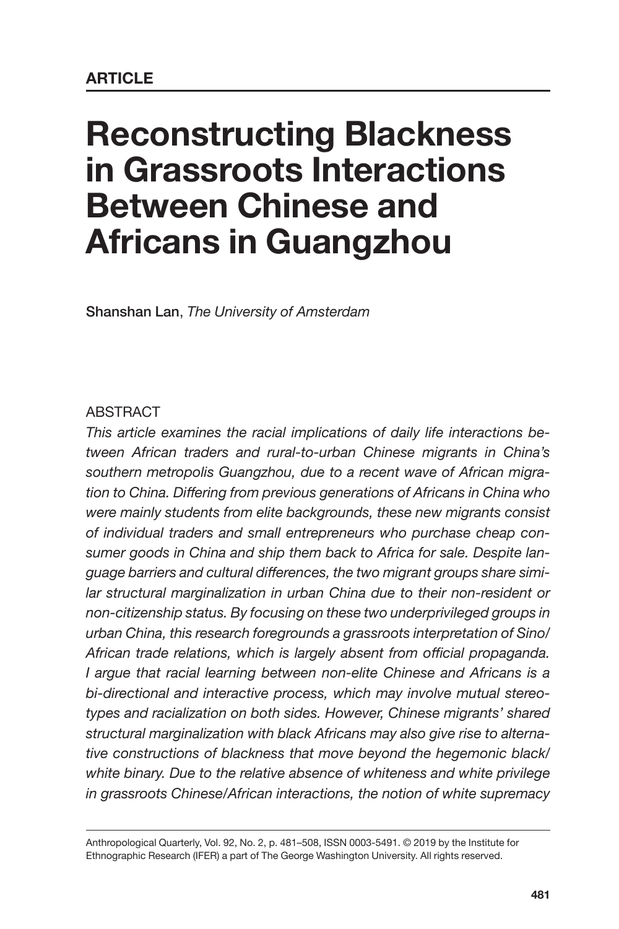# **Reconstructing Blackness in Grassroots Interactions Between Chinese and Africans in Guangzhou**

Shanshan Lan, *The University of Amsterdam*

#### ABSTRACT

*This article examines the racial implications of daily life interactions between African traders and rural-to-urban Chinese migrants in China's southern metropolis Guangzhou, due to a recent wave of African migration to China. Differing from previous generations of Africans in China who were mainly students from elite backgrounds, these new migrants consist of individual traders and small entrepreneurs who purchase cheap consumer goods in China and ship them back to Africa for sale. Despite language barriers and cultural differences, the two migrant groups share similar structural marginalization in urban China due to their non-resident or non-citizenship status. By focusing on these two underprivileged groups in urban China, this research foregrounds a grassroots interpretation of Sino/ African trade relations, which is largely absent from official propaganda. I argue that racial learning between non-elite Chinese and Africans is a bi-directional and interactive process, which may involve mutual stereotypes and racialization on both sides. However, Chinese migrants' shared structural marginalization with black Africans may also give rise to alternative constructions of blackness that move beyond the hegemonic black/ white binary. Due to the relative absence of whiteness and white privilege in grassroots Chinese/African interactions, the notion of white supremacy* 

Anthropological Quarterly, Vol. 92, No. 2, p. 481–508, ISSN 0003-5491. © 2019 by the Institute for Ethnographic Research (IFER) a part of The George Washington University. All rights reserved.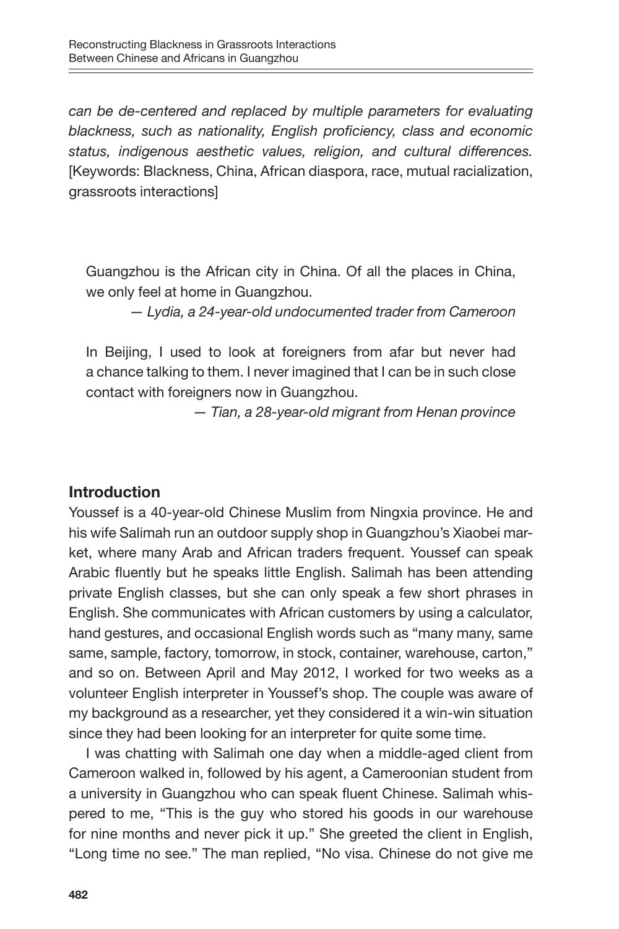*can be de-centered and replaced by multiple parameters for evaluating blackness, such as nationality, English proficiency, class and economic status, indigenous aesthetic values, religion, and cultural differences.*  [Keywords: Blackness, China, African diaspora, race, mutual racialization, grassroots interactions]

Guangzhou is the African city in China. Of all the places in China, we only feel at home in Guangzhou.

 *— Lydia, a 24-year-old undocumented trader from Cameroon*

In Beijing, I used to look at foreigners from afar but never had a chance talking to them. I never imagined that I can be in such close contact with foreigners now in Guangzhou.

 *— Tian, a 28-year-old migrant from Henan province* 

## **Introduction**

Youssef is a 40-year-old Chinese Muslim from Ningxia province. He and his wife Salimah run an outdoor supply shop in Guangzhou's Xiaobei market, where many Arab and African traders frequent. Youssef can speak Arabic fluently but he speaks little English. Salimah has been attending private English classes, but she can only speak a few short phrases in English. She communicates with African customers by using a calculator, hand gestures, and occasional English words such as "many many, same same, sample, factory, tomorrow, in stock, container, warehouse, carton," and so on. Between April and May 2012, I worked for two weeks as a volunteer English interpreter in Youssef's shop. The couple was aware of my background as a researcher, yet they considered it a win-win situation since they had been looking for an interpreter for quite some time.

I was chatting with Salimah one day when a middle-aged client from Cameroon walked in, followed by his agent, a Cameroonian student from a university in Guangzhou who can speak fluent Chinese. Salimah whispered to me, "This is the guy who stored his goods in our warehouse for nine months and never pick it up." She greeted the client in English, "Long time no see." The man replied, "No visa. Chinese do not give me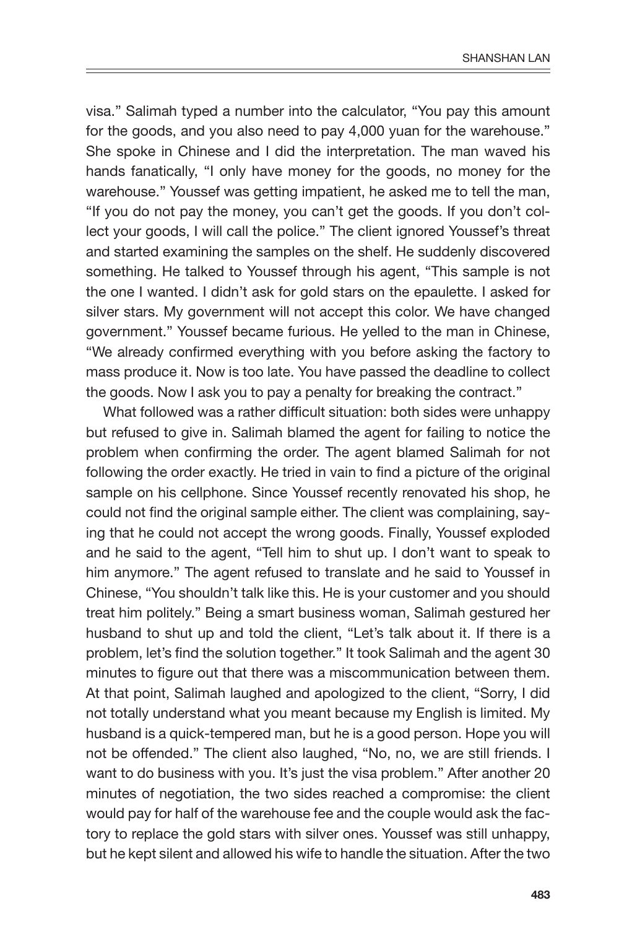visa." Salimah typed a number into the calculator, "You pay this amount for the goods, and you also need to pay 4,000 yuan for the warehouse." She spoke in Chinese and I did the interpretation. The man waved his hands fanatically, "I only have money for the goods, no money for the warehouse." Youssef was getting impatient, he asked me to tell the man, "If you do not pay the money, you can't get the goods. If you don't collect your goods, I will call the police." The client ignored Youssef's threat and started examining the samples on the shelf. He suddenly discovered something. He talked to Youssef through his agent, "This sample is not the one I wanted. I didn't ask for gold stars on the epaulette. I asked for silver stars. My government will not accept this color. We have changed government." Youssef became furious. He yelled to the man in Chinese, "We already confirmed everything with you before asking the factory to mass produce it. Now is too late. You have passed the deadline to collect the goods. Now I ask you to pay a penalty for breaking the contract."

What followed was a rather difficult situation: both sides were unhappy but refused to give in. Salimah blamed the agent for failing to notice the problem when confirming the order. The agent blamed Salimah for not following the order exactly. He tried in vain to find a picture of the original sample on his cellphone. Since Youssef recently renovated his shop, he could not find the original sample either. The client was complaining, saying that he could not accept the wrong goods. Finally, Youssef exploded and he said to the agent, "Tell him to shut up. I don't want to speak to him anymore." The agent refused to translate and he said to Youssef in Chinese, "You shouldn't talk like this. He is your customer and you should treat him politely." Being a smart business woman, Salimah gestured her husband to shut up and told the client, "Let's talk about it. If there is a problem, let's find the solution together." It took Salimah and the agent 30 minutes to figure out that there was a miscommunication between them. At that point, Salimah laughed and apologized to the client, "Sorry, I did not totally understand what you meant because my English is limited. My husband is a quick-tempered man, but he is a good person. Hope you will not be offended." The client also laughed, "No, no, we are still friends. I want to do business with you. It's just the visa problem." After another 20 minutes of negotiation, the two sides reached a compromise: the client would pay for half of the warehouse fee and the couple would ask the factory to replace the gold stars with silver ones. Youssef was still unhappy, but he kept silent and allowed his wife to handle the situation. After the two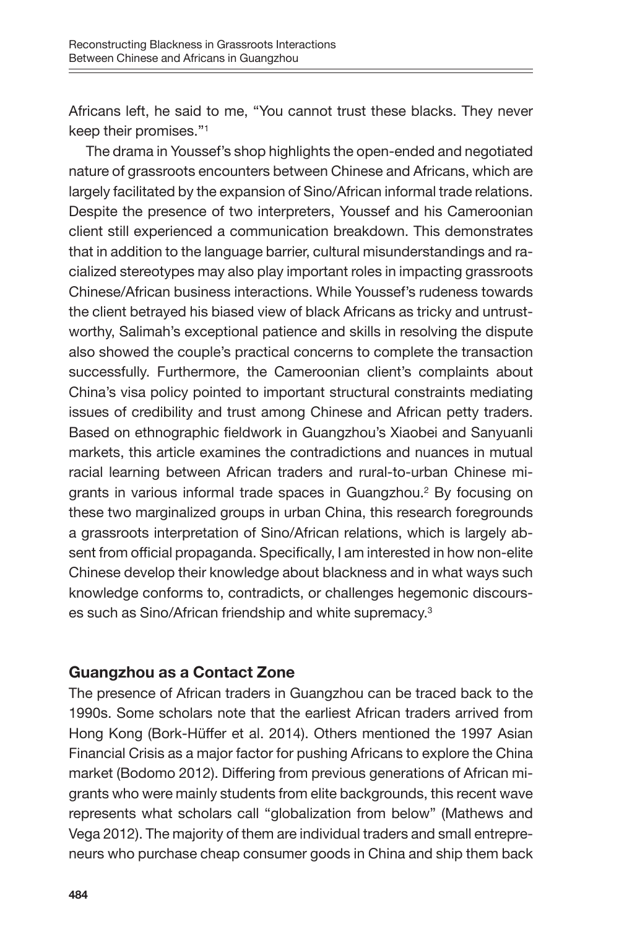Africans left, he said to me, "You cannot trust these blacks. They never keep their promises."1

The drama in Youssef's shop highlights the open-ended and negotiated nature of grassroots encounters between Chinese and Africans, which are largely facilitated by the expansion of Sino/African informal trade relations. Despite the presence of two interpreters, Youssef and his Cameroonian client still experienced a communication breakdown. This demonstrates that in addition to the language barrier, cultural misunderstandings and racialized stereotypes may also play important roles in impacting grassroots Chinese/African business interactions. While Youssef's rudeness towards the client betrayed his biased view of black Africans as tricky and untrustworthy, Salimah's exceptional patience and skills in resolving the dispute also showed the couple's practical concerns to complete the transaction successfully. Furthermore, the Cameroonian client's complaints about China's visa policy pointed to important structural constraints mediating issues of credibility and trust among Chinese and African petty traders. Based on ethnographic fieldwork in Guangzhou's Xiaobei and Sanyuanli markets, this article examines the contradictions and nuances in mutual racial learning between African traders and rural-to-urban Chinese migrants in various informal trade spaces in Guangzhou.<sup>2</sup> By focusing on these two marginalized groups in urban China, this research foregrounds a grassroots interpretation of Sino/African relations, which is largely absent from official propaganda. Specifically, I am interested in how non-elite Chinese develop their knowledge about blackness and in what ways such knowledge conforms to, contradicts, or challenges hegemonic discourses such as Sino/African friendship and white supremacy.3

## **Guangzhou as a Contact Zone**

The presence of African traders in Guangzhou can be traced back to the 1990s. Some scholars note that the earliest African traders arrived from Hong Kong (Bork-Hüffer et al. 2014). Others mentioned the 1997 Asian Financial Crisis as a major factor for pushing Africans to explore the China market (Bodomo 2012). Differing from previous generations of African migrants who were mainly students from elite backgrounds, this recent wave represents what scholars call "globalization from below" (Mathews and Vega 2012). The majority of them are individual traders and small entrepreneurs who purchase cheap consumer goods in China and ship them back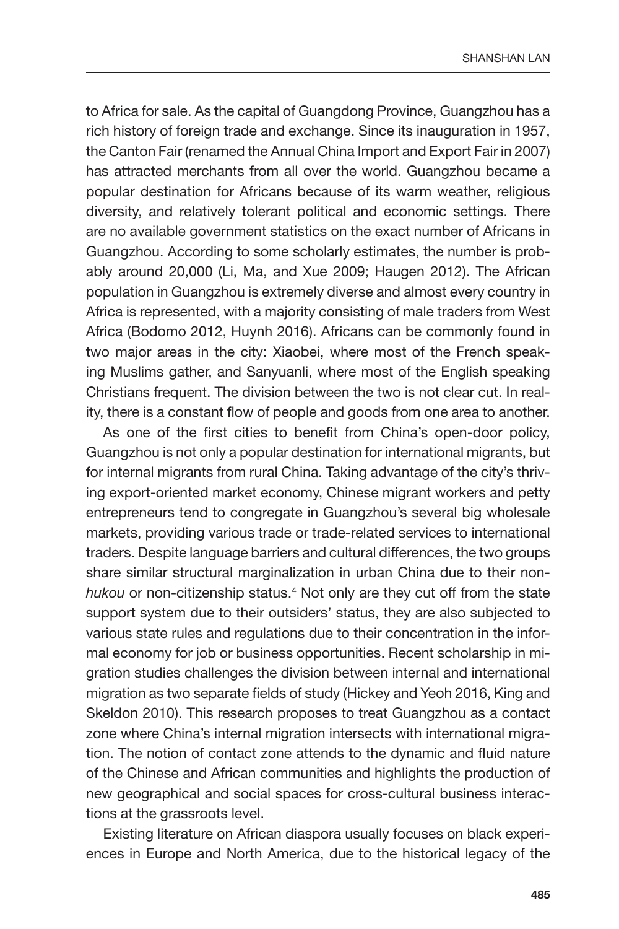to Africa for sale. As the capital of Guangdong Province, Guangzhou has a rich history of foreign trade and exchange. Since its inauguration in 1957, the Canton Fair (renamed the Annual China Import and Export Fair in 2007) has attracted merchants from all over the world. Guangzhou became a popular destination for Africans because of its warm weather, religious diversity, and relatively tolerant political and economic settings. There are no available government statistics on the exact number of Africans in Guangzhou. According to some scholarly estimates, the number is probably around 20,000 (Li, Ma, and Xue 2009; Haugen 2012). The African population in Guangzhou is extremely diverse and almost every country in Africa is represented, with a majority consisting of male traders from West Africa (Bodomo 2012, Huynh 2016). Africans can be commonly found in two major areas in the city: Xiaobei, where most of the French speaking Muslims gather, and Sanyuanli, where most of the English speaking Christians frequent. The division between the two is not clear cut. In reality, there is a constant flow of people and goods from one area to another.

As one of the first cities to benefit from China's open-door policy, Guangzhou is not only a popular destination for international migrants, but for internal migrants from rural China. Taking advantage of the city's thriving export-oriented market economy, Chinese migrant workers and petty entrepreneurs tend to congregate in Guangzhou's several big wholesale markets, providing various trade or trade-related services to international traders. Despite language barriers and cultural differences, the two groups share similar structural marginalization in urban China due to their non*hukou* or non-citizenship status.4 Not only are they cut off from the state support system due to their outsiders' status, they are also subjected to various state rules and regulations due to their concentration in the informal economy for job or business opportunities. Recent scholarship in migration studies challenges the division between internal and international migration as two separate fields of study (Hickey and Yeoh 2016, King and Skeldon 2010). This research proposes to treat Guangzhou as a contact zone where China's internal migration intersects with international migration. The notion of contact zone attends to the dynamic and fluid nature of the Chinese and African communities and highlights the production of new geographical and social spaces for cross-cultural business interactions at the grassroots level.

Existing literature on African diaspora usually focuses on black experiences in Europe and North America, due to the historical legacy of the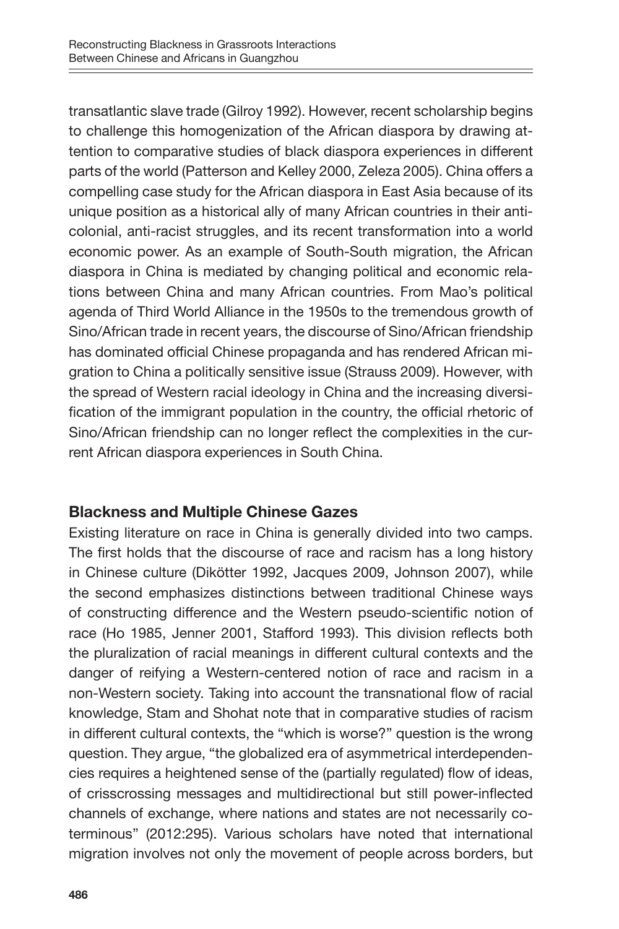transatlantic slave trade (Gilroy 1992). However, recent scholarship begins to challenge this homogenization of the African diaspora by drawing attention to comparative studies of black diaspora experiences in different parts of the world (Patterson and Kelley 2000, Zeleza 2005). China offers a compelling case study for the African diaspora in East Asia because of its unique position as a historical ally of many African countries in their anticolonial, anti-racist struggles, and its recent transformation into a world economic power. As an example of South-South migration, the African diaspora in China is mediated by changing political and economic relations between China and many African countries. From Mao's political agenda of Third World Alliance in the 1950s to the tremendous growth of Sino/African trade in recent years, the discourse of Sino/African friendship has dominated official Chinese propaganda and has rendered African migration to China a politically sensitive issue (Strauss 2009). However, with the spread of Western racial ideology in China and the increasing diversification of the immigrant population in the country, the official rhetoric of Sino/African friendship can no longer reflect the complexities in the current African diaspora experiences in South China.

## **Blackness and Multiple Chinese Gazes**

Existing literature on race in China is generally divided into two camps. The first holds that the discourse of race and racism has a long history in Chinese culture (Dikötter 1992, Jacques 2009, Johnson 2007), while the second emphasizes distinctions between traditional Chinese ways of constructing difference and the Western pseudo-scientific notion of race (Ho 1985, Jenner 2001, Stafford 1993). This division reflects both the pluralization of racial meanings in different cultural contexts and the danger of reifying a Western-centered notion of race and racism in a non-Western society. Taking into account the transnational flow of racial knowledge, Stam and Shohat note that in comparative studies of racism in different cultural contexts, the "which is worse?" question is the wrong question. They argue, "the globalized era of asymmetrical interdependencies requires a heightened sense of the (partially regulated) flow of ideas, of crisscrossing messages and multidirectional but still power-inflected channels of exchange, where nations and states are not necessarily coterminous" (2012:295). Various scholars have noted that international migration involves not only the movement of people across borders, but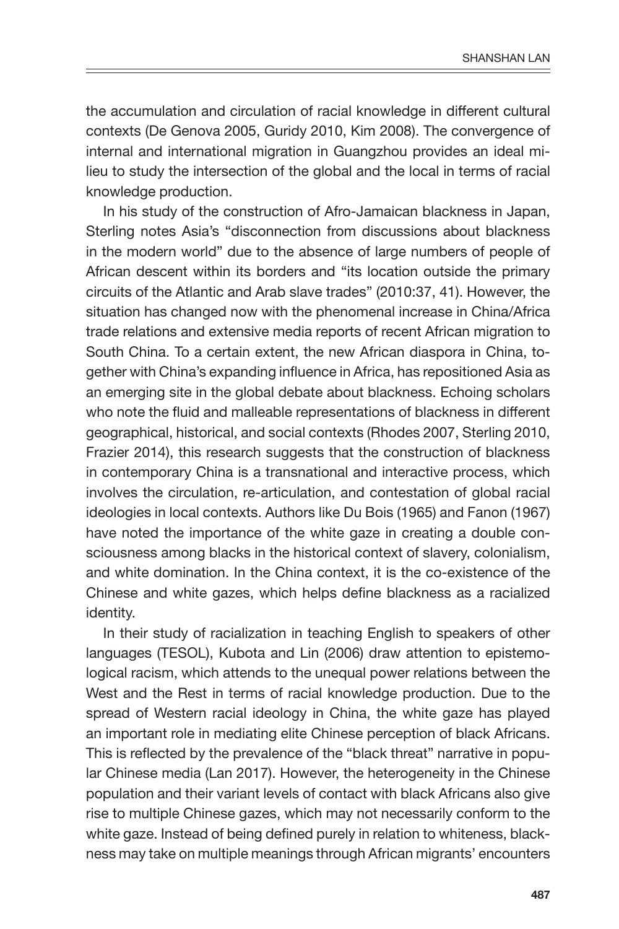the accumulation and circulation of racial knowledge in different cultural contexts (De Genova 2005, Guridy 2010, Kim 2008). The convergence of internal and international migration in Guangzhou provides an ideal milieu to study the intersection of the global and the local in terms of racial knowledge production.

In his study of the construction of Afro-Jamaican blackness in Japan, Sterling notes Asia's "disconnection from discussions about blackness in the modern world" due to the absence of large numbers of people of African descent within its borders and "its location outside the primary circuits of the Atlantic and Arab slave trades" (2010:37, 41). However, the situation has changed now with the phenomenal increase in China/Africa trade relations and extensive media reports of recent African migration to South China. To a certain extent, the new African diaspora in China, together with China's expanding influence in Africa, has repositioned Asia as an emerging site in the global debate about blackness. Echoing scholars who note the fluid and malleable representations of blackness in different geographical, historical, and social contexts (Rhodes 2007, Sterling 2010, Frazier 2014), this research suggests that the construction of blackness in contemporary China is a transnational and interactive process, which involves the circulation, re-articulation, and contestation of global racial ideologies in local contexts. Authors like Du Bois (1965) and Fanon (1967) have noted the importance of the white gaze in creating a double consciousness among blacks in the historical context of slavery, colonialism, and white domination. In the China context, it is the co-existence of the Chinese and white gazes, which helps define blackness as a racialized identity.

In their study of racialization in teaching English to speakers of other languages (TESOL), Kubota and Lin (2006) draw attention to epistemological racism, which attends to the unequal power relations between the West and the Rest in terms of racial knowledge production. Due to the spread of Western racial ideology in China, the white gaze has played an important role in mediating elite Chinese perception of black Africans. This is reflected by the prevalence of the "black threat" narrative in popular Chinese media (Lan 2017). However, the heterogeneity in the Chinese population and their variant levels of contact with black Africans also give rise to multiple Chinese gazes, which may not necessarily conform to the white gaze. Instead of being defined purely in relation to whiteness, blackness may take on multiple meanings through African migrants' encounters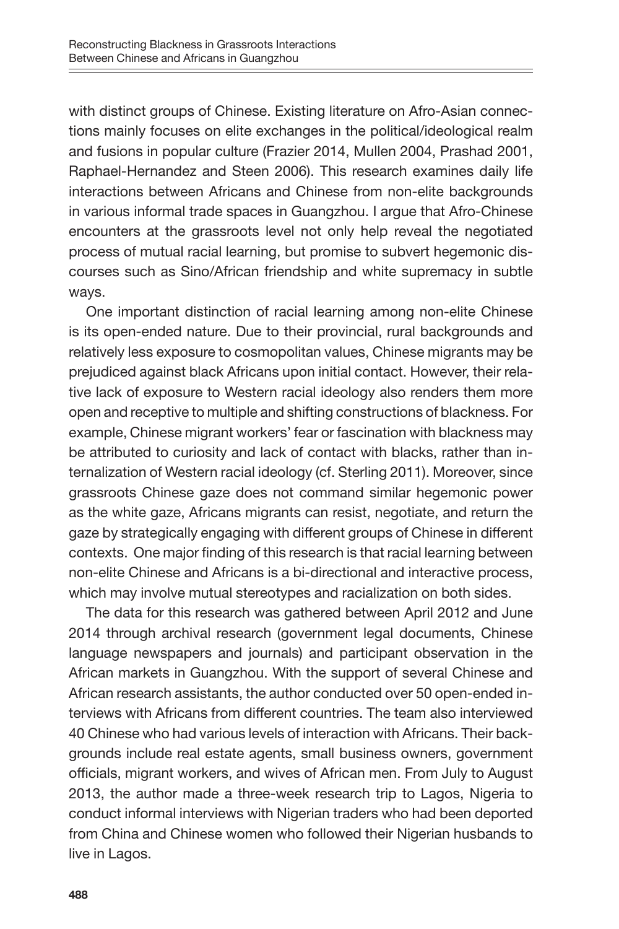with distinct groups of Chinese. Existing literature on Afro-Asian connections mainly focuses on elite exchanges in the political/ideological realm and fusions in popular culture (Frazier 2014, Mullen 2004, Prashad 2001, Raphael-Hernandez and Steen 2006). This research examines daily life interactions between Africans and Chinese from non-elite backgrounds in various informal trade spaces in Guangzhou. I argue that Afro-Chinese encounters at the grassroots level not only help reveal the negotiated process of mutual racial learning, but promise to subvert hegemonic discourses such as Sino/African friendship and white supremacy in subtle ways.

One important distinction of racial learning among non-elite Chinese is its open-ended nature. Due to their provincial, rural backgrounds and relatively less exposure to cosmopolitan values, Chinese migrants may be prejudiced against black Africans upon initial contact. However, their relative lack of exposure to Western racial ideology also renders them more open and receptive to multiple and shifting constructions of blackness. For example, Chinese migrant workers' fear or fascination with blackness may be attributed to curiosity and lack of contact with blacks, rather than internalization of Western racial ideology (cf. Sterling 2011). Moreover, since grassroots Chinese gaze does not command similar hegemonic power as the white gaze, Africans migrants can resist, negotiate, and return the gaze by strategically engaging with different groups of Chinese in different contexts. One major finding of this research is that racial learning between non-elite Chinese and Africans is a bi-directional and interactive process, which may involve mutual stereotypes and racialization on both sides.

The data for this research was gathered between April 2012 and June 2014 through archival research (government legal documents, Chinese language newspapers and journals) and participant observation in the African markets in Guangzhou. With the support of several Chinese and African research assistants, the author conducted over 50 open-ended interviews with Africans from different countries. The team also interviewed 40 Chinese who had various levels of interaction with Africans. Their backgrounds include real estate agents, small business owners, government officials, migrant workers, and wives of African men. From July to August 2013, the author made a three-week research trip to Lagos, Nigeria to conduct informal interviews with Nigerian traders who had been deported from China and Chinese women who followed their Nigerian husbands to live in Lagos.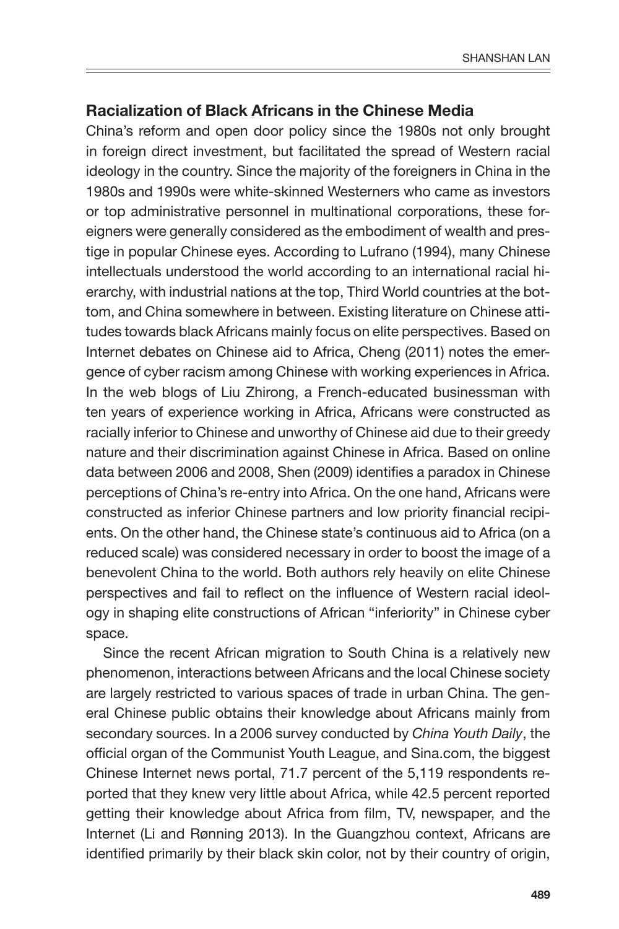#### **Racialization of Black Africans in the Chinese Media**

China's reform and open door policy since the 1980s not only brought in foreign direct investment, but facilitated the spread of Western racial ideology in the country. Since the majority of the foreigners in China in the 1980s and 1990s were white-skinned Westerners who came as investors or top administrative personnel in multinational corporations, these foreigners were generally considered as the embodiment of wealth and prestige in popular Chinese eyes. According to Lufrano (1994), many Chinese intellectuals understood the world according to an international racial hierarchy, with industrial nations at the top, Third World countries at the bottom, and China somewhere in between. Existing literature on Chinese attitudes towards black Africans mainly focus on elite perspectives. Based on Internet debates on Chinese aid to Africa, Cheng (2011) notes the emergence of cyber racism among Chinese with working experiences in Africa. In the web blogs of Liu Zhirong, a French-educated businessman with ten years of experience working in Africa, Africans were constructed as racially inferior to Chinese and unworthy of Chinese aid due to their greedy nature and their discrimination against Chinese in Africa. Based on online data between 2006 and 2008, Shen (2009) identifies a paradox in Chinese perceptions of China's re-entry into Africa. On the one hand, Africans were constructed as inferior Chinese partners and low priority financial recipients. On the other hand, the Chinese state's continuous aid to Africa (on a reduced scale) was considered necessary in order to boost the image of a benevolent China to the world. Both authors rely heavily on elite Chinese perspectives and fail to reflect on the influence of Western racial ideology in shaping elite constructions of African "inferiority" in Chinese cyber space.

Since the recent African migration to South China is a relatively new phenomenon, interactions between Africans and the local Chinese society are largely restricted to various spaces of trade in urban China. The general Chinese public obtains their knowledge about Africans mainly from secondary sources. In a 2006 survey conducted by *China Youth Daily*, the official organ of the Communist Youth League, and Sina.com, the biggest Chinese Internet news portal, 71.7 percent of the 5,119 respondents reported that they knew very little about Africa, while 42.5 percent reported getting their knowledge about Africa from film, TV, newspaper, and the Internet (Li and Rønning 2013). In the Guangzhou context, Africans are identified primarily by their black skin color, not by their country of origin,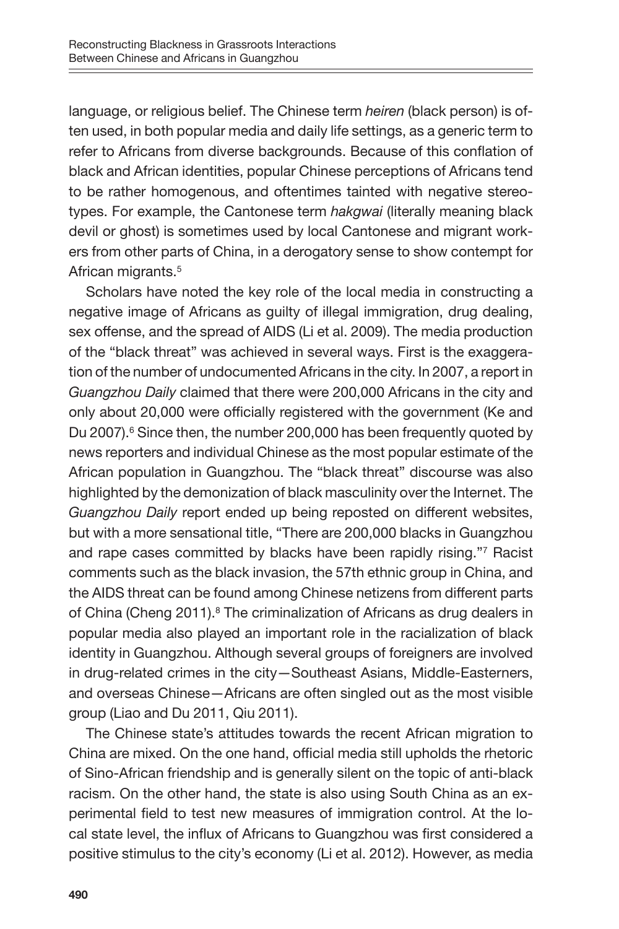language, or religious belief. The Chinese term *heiren* (black person) is often used, in both popular media and daily life settings, as a generic term to refer to Africans from diverse backgrounds. Because of this conflation of black and African identities, popular Chinese perceptions of Africans tend to be rather homogenous, and oftentimes tainted with negative stereotypes. For example, the Cantonese term *hakgwai* (literally meaning black devil or ghost) is sometimes used by local Cantonese and migrant workers from other parts of China, in a derogatory sense to show contempt for African migrants.<sup>5</sup>

Scholars have noted the key role of the local media in constructing a negative image of Africans as guilty of illegal immigration, drug dealing, sex offense, and the spread of AIDS (Li et al. 2009). The media production of the "black threat" was achieved in several ways. First is the exaggeration of the number of undocumented Africans in the city. In 2007, a report in *Guangzhou Daily* claimed that there were 200,000 Africans in the city and only about 20,000 were officially registered with the government (Ke and Du 2007).<sup>6</sup> Since then, the number 200,000 has been frequently quoted by news reporters and individual Chinese as the most popular estimate of the African population in Guangzhou. The "black threat" discourse was also highlighted by the demonization of black masculinity over the Internet. The *Guangzhou Daily* report ended up being reposted on different websites, but with a more sensational title, "There are 200,000 blacks in Guangzhou and rape cases committed by blacks have been rapidly rising."<sup>7</sup> Racist comments such as the black invasion, the 57th ethnic group in China, and the AIDS threat can be found among Chinese netizens from different parts of China (Cheng 2011).<sup>8</sup> The criminalization of Africans as drug dealers in popular media also played an important role in the racialization of black identity in Guangzhou. Although several groups of foreigners are involved in drug-related crimes in the city—Southeast Asians, Middle-Easterners, and overseas Chinese—Africans are often singled out as the most visible group (Liao and Du 2011, Qiu 2011).

The Chinese state's attitudes towards the recent African migration to China are mixed. On the one hand, official media still upholds the rhetoric of Sino-African friendship and is generally silent on the topic of anti-black racism. On the other hand, the state is also using South China as an experimental field to test new measures of immigration control. At the local state level, the influx of Africans to Guangzhou was first considered a positive stimulus to the city's economy (Li et al. 2012). However, as media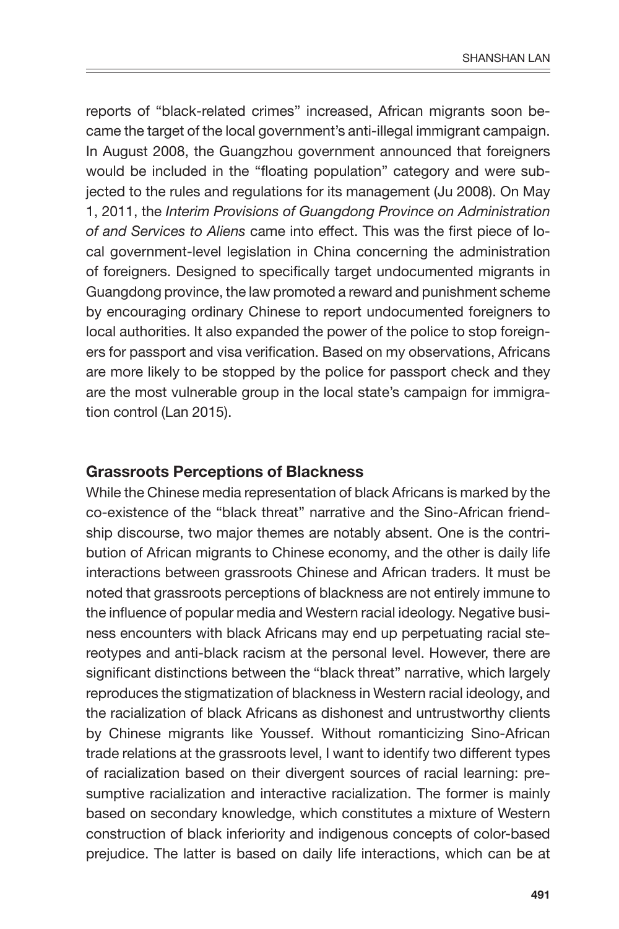reports of "black-related crimes" increased, African migrants soon became the target of the local government's anti-illegal immigrant campaign. In August 2008, the Guangzhou government announced that foreigners would be included in the "floating population" category and were subjected to the rules and regulations for its management (Ju 2008). On May 1, 2011, the *Interim Provisions of Guangdong Province on Administration of and Services to Aliens* came into effect. This was the first piece of local government-level legislation in China concerning the administration of foreigners. Designed to specifically target undocumented migrants in Guangdong province, the law promoted a reward and punishment scheme by encouraging ordinary Chinese to report undocumented foreigners to local authorities. It also expanded the power of the police to stop foreigners for passport and visa verification. Based on my observations, Africans are more likely to be stopped by the police for passport check and they are the most vulnerable group in the local state's campaign for immigration control (Lan 2015).

#### **Grassroots Perceptions of Blackness**

While the Chinese media representation of black Africans is marked by the co-existence of the "black threat" narrative and the Sino-African friendship discourse, two major themes are notably absent. One is the contribution of African migrants to Chinese economy, and the other is daily life interactions between grassroots Chinese and African traders. It must be noted that grassroots perceptions of blackness are not entirely immune to the influence of popular media and Western racial ideology. Negative business encounters with black Africans may end up perpetuating racial stereotypes and anti-black racism at the personal level. However, there are significant distinctions between the "black threat" narrative, which largely reproduces the stigmatization of blackness in Western racial ideology, and the racialization of black Africans as dishonest and untrustworthy clients by Chinese migrants like Youssef. Without romanticizing Sino-African trade relations at the grassroots level, I want to identify two different types of racialization based on their divergent sources of racial learning: presumptive racialization and interactive racialization. The former is mainly based on secondary knowledge, which constitutes a mixture of Western construction of black inferiority and indigenous concepts of color-based prejudice. The latter is based on daily life interactions, which can be at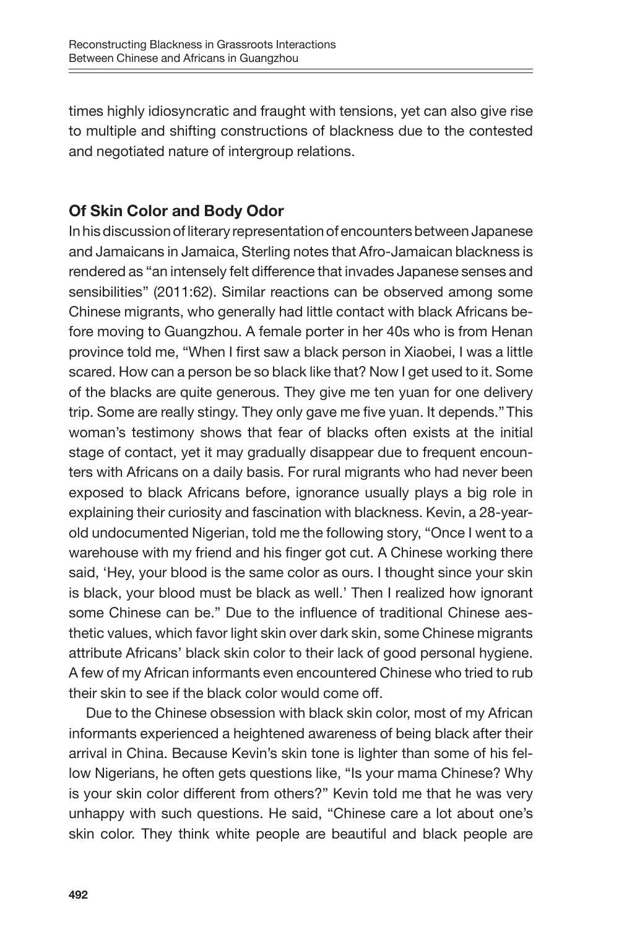times highly idiosyncratic and fraught with tensions, yet can also give rise to multiple and shifting constructions of blackness due to the contested and negotiated nature of intergroup relations.

# **Of Skin Color and Body Odor**

In his discussion of literary representation of encounters between Japanese and Jamaicans in Jamaica, Sterling notes that Afro-Jamaican blackness is rendered as "an intensely felt difference that invades Japanese senses and sensibilities" (2011:62). Similar reactions can be observed among some Chinese migrants, who generally had little contact with black Africans before moving to Guangzhou. A female porter in her 40s who is from Henan province told me, "When I first saw a black person in Xiaobei, I was a little scared. How can a person be so black like that? Now I get used to it. Some of the blacks are quite generous. They give me ten yuan for one delivery trip. Some are really stingy. They only gave me five yuan. It depends."This woman's testimony shows that fear of blacks often exists at the initial stage of contact, yet it may gradually disappear due to frequent encounters with Africans on a daily basis. For rural migrants who had never been exposed to black Africans before, ignorance usually plays a big role in explaining their curiosity and fascination with blackness. Kevin, a 28-yearold undocumented Nigerian, told me the following story, "Once I went to a warehouse with my friend and his finger got cut. A Chinese working there said, 'Hey, your blood is the same color as ours. I thought since your skin is black, your blood must be black as well.' Then I realized how ignorant some Chinese can be." Due to the influence of traditional Chinese aesthetic values, which favor light skin over dark skin, some Chinese migrants attribute Africans' black skin color to their lack of good personal hygiene. A few of my African informants even encountered Chinese who tried to rub their skin to see if the black color would come off.

Due to the Chinese obsession with black skin color, most of my African informants experienced a heightened awareness of being black after their arrival in China. Because Kevin's skin tone is lighter than some of his fellow Nigerians, he often gets questions like, "Is your mama Chinese? Why is your skin color different from others?" Kevin told me that he was very unhappy with such questions. He said, "Chinese care a lot about one's skin color. They think white people are beautiful and black people are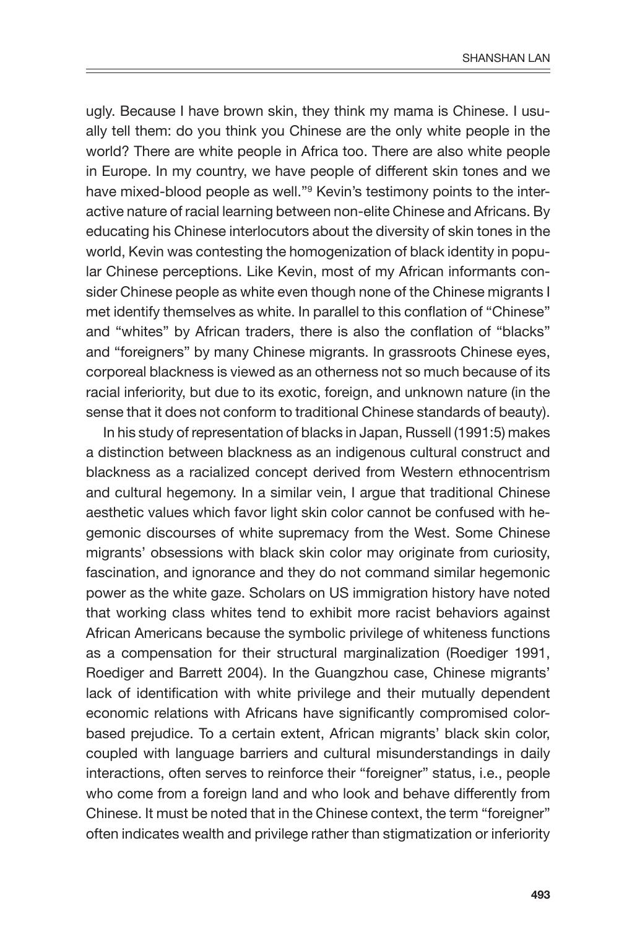ugly. Because I have brown skin, they think my mama is Chinese. I usually tell them: do you think you Chinese are the only white people in the world? There are white people in Africa too. There are also white people in Europe. In my country, we have people of different skin tones and we have mixed-blood people as well."<sup>9</sup> Kevin's testimony points to the interactive nature of racial learning between non-elite Chinese and Africans. By educating his Chinese interlocutors about the diversity of skin tones in the world, Kevin was contesting the homogenization of black identity in popular Chinese perceptions. Like Kevin, most of my African informants consider Chinese people as white even though none of the Chinese migrants I met identify themselves as white. In parallel to this conflation of "Chinese" and "whites" by African traders, there is also the conflation of "blacks" and "foreigners" by many Chinese migrants. In grassroots Chinese eyes, corporeal blackness is viewed as an otherness not so much because of its racial inferiority, but due to its exotic, foreign, and unknown nature (in the sense that it does not conform to traditional Chinese standards of beauty).

In his study of representation of blacks in Japan, Russell (1991:5) makes a distinction between blackness as an indigenous cultural construct and blackness as a racialized concept derived from Western ethnocentrism and cultural hegemony. In a similar vein, I argue that traditional Chinese aesthetic values which favor light skin color cannot be confused with hegemonic discourses of white supremacy from the West. Some Chinese migrants' obsessions with black skin color may originate from curiosity, fascination, and ignorance and they do not command similar hegemonic power as the white gaze. Scholars on US immigration history have noted that working class whites tend to exhibit more racist behaviors against African Americans because the symbolic privilege of whiteness functions as a compensation for their structural marginalization (Roediger 1991, Roediger and Barrett 2004). In the Guangzhou case, Chinese migrants' lack of identification with white privilege and their mutually dependent economic relations with Africans have significantly compromised colorbased prejudice. To a certain extent, African migrants' black skin color, coupled with language barriers and cultural misunderstandings in daily interactions, often serves to reinforce their "foreigner" status, i.e., people who come from a foreign land and who look and behave differently from Chinese. It must be noted that in the Chinese context, the term "foreigner" often indicates wealth and privilege rather than stigmatization or inferiority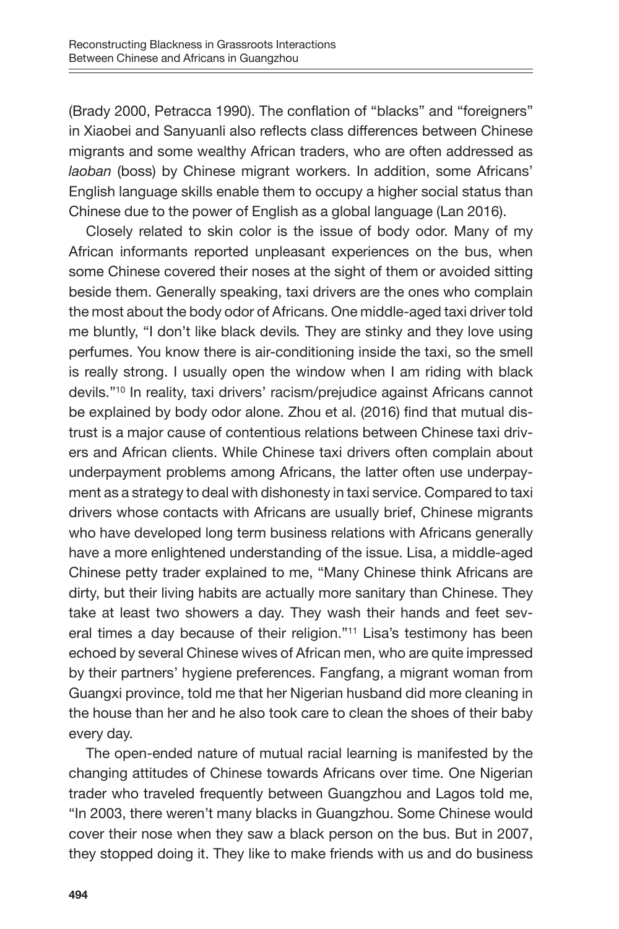(Brady 2000, Petracca 1990). The conflation of "blacks" and "foreigners" in Xiaobei and Sanyuanli also reflects class differences between Chinese migrants and some wealthy African traders, who are often addressed as *laoban* (boss) by Chinese migrant workers. In addition, some Africans' English language skills enable them to occupy a higher social status than Chinese due to the power of English as a global language (Lan 2016).

Closely related to skin color is the issue of body odor. Many of my African informants reported unpleasant experiences on the bus, when some Chinese covered their noses at the sight of them or avoided sitting beside them. Generally speaking, taxi drivers are the ones who complain the most about the body odor of Africans. One middle-aged taxi driver told me bluntly, "I don't like black devils*.* They are stinky and they love using perfumes. You know there is air-conditioning inside the taxi, so the smell is really strong. I usually open the window when I am riding with black devils."10 In reality, taxi drivers' racism/prejudice against Africans cannot be explained by body odor alone. Zhou et al. (2016) find that mutual distrust is a major cause of contentious relations between Chinese taxi drivers and African clients. While Chinese taxi drivers often complain about underpayment problems among Africans, the latter often use underpayment as a strategy to deal with dishonesty in taxi service. Compared to taxi drivers whose contacts with Africans are usually brief, Chinese migrants who have developed long term business relations with Africans generally have a more enlightened understanding of the issue. Lisa, a middle-aged Chinese petty trader explained to me, "Many Chinese think Africans are dirty, but their living habits are actually more sanitary than Chinese. They take at least two showers a day. They wash their hands and feet several times a day because of their religion."11 Lisa's testimony has been echoed by several Chinese wives of African men, who are quite impressed by their partners' hygiene preferences. Fangfang, a migrant woman from Guangxi province, told me that her Nigerian husband did more cleaning in the house than her and he also took care to clean the shoes of their baby every day.

The open-ended nature of mutual racial learning is manifested by the changing attitudes of Chinese towards Africans over time. One Nigerian trader who traveled frequently between Guangzhou and Lagos told me, "In 2003, there weren't many blacks in Guangzhou. Some Chinese would cover their nose when they saw a black person on the bus. But in 2007, they stopped doing it. They like to make friends with us and do business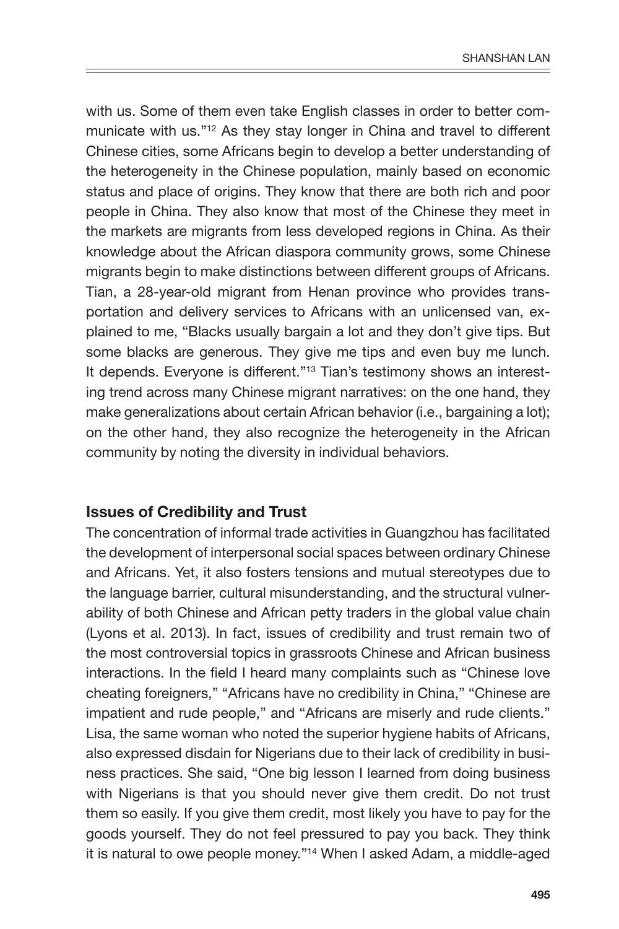with us. Some of them even take English classes in order to better communicate with us."12 As they stay longer in China and travel to different Chinese cities, some Africans begin to develop a better understanding of the heterogeneity in the Chinese population, mainly based on economic status and place of origins. They know that there are both rich and poor people in China. They also know that most of the Chinese they meet in the markets are migrants from less developed regions in China. As their knowledge about the African diaspora community grows, some Chinese migrants begin to make distinctions between different groups of Africans. Tian, a 28-year-old migrant from Henan province who provides transportation and delivery services to Africans with an unlicensed van, explained to me, "Blacks usually bargain a lot and they don't give tips. But some blacks are generous. They give me tips and even buy me lunch. It depends. Everyone is different."<sup>13</sup> Tian's testimony shows an interesting trend across many Chinese migrant narratives: on the one hand, they make generalizations about certain African behavior (i.e., bargaining a lot); on the other hand, they also recognize the heterogeneity in the African community by noting the diversity in individual behaviors.

#### **Issues of Credibility and Trust**

The concentration of informal trade activities in Guangzhou has facilitated the development of interpersonal social spaces between ordinary Chinese and Africans. Yet, it also fosters tensions and mutual stereotypes due to the language barrier, cultural misunderstanding, and the structural vulnerability of both Chinese and African petty traders in the global value chain (Lyons et al. 2013). In fact, issues of credibility and trust remain two of the most controversial topics in grassroots Chinese and African business interactions. In the field I heard many complaints such as "Chinese love cheating foreigners," "Africans have no credibility in China," "Chinese are impatient and rude people," and "Africans are miserly and rude clients." Lisa, the same woman who noted the superior hygiene habits of Africans, also expressed disdain for Nigerians due to their lack of credibility in business practices. She said, "One big lesson I learned from doing business with Nigerians is that you should never give them credit. Do not trust them so easily. If you give them credit, most likely you have to pay for the goods yourself. They do not feel pressured to pay you back. They think it is natural to owe people money."<sup>14</sup> When I asked Adam, a middle-aged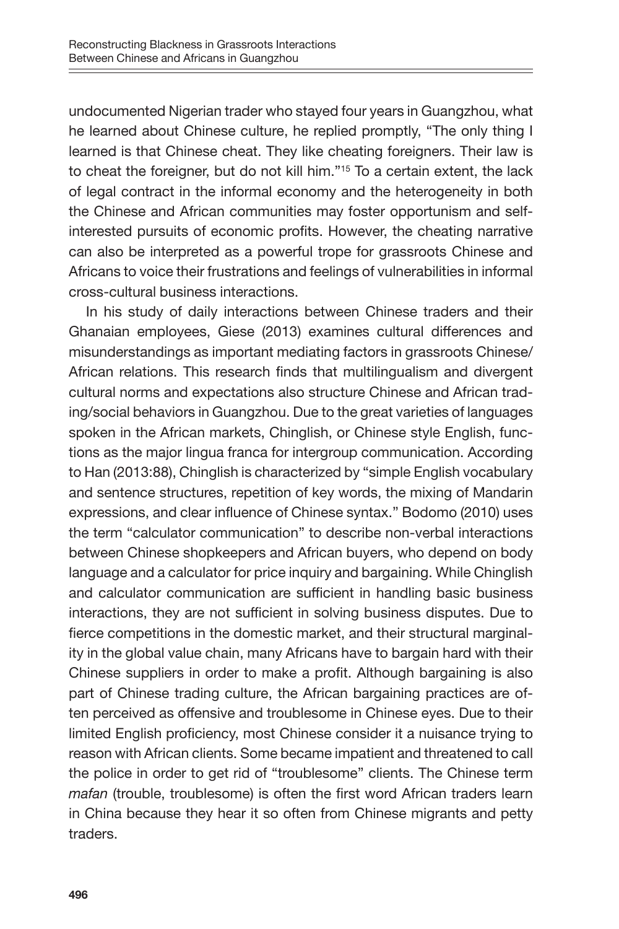undocumented Nigerian trader who stayed four years in Guangzhou, what he learned about Chinese culture, he replied promptly, "The only thing I learned is that Chinese cheat. They like cheating foreigners. Their law is to cheat the foreigner, but do not kill him."15 To a certain extent, the lack of legal contract in the informal economy and the heterogeneity in both the Chinese and African communities may foster opportunism and selfinterested pursuits of economic profits. However, the cheating narrative can also be interpreted as a powerful trope for grassroots Chinese and Africans to voice their frustrations and feelings of vulnerabilities in informal cross-cultural business interactions.

In his study of daily interactions between Chinese traders and their Ghanaian employees, Giese (2013) examines cultural differences and misunderstandings as important mediating factors in grassroots Chinese/ African relations. This research finds that multilingualism and divergent cultural norms and expectations also structure Chinese and African trading/social behaviors in Guangzhou. Due to the great varieties of languages spoken in the African markets, Chinglish, or Chinese style English, functions as the major lingua franca for intergroup communication. According to Han (2013:88), Chinglish is characterized by "simple English vocabulary and sentence structures, repetition of key words, the mixing of Mandarin expressions, and clear influence of Chinese syntax." Bodomo (2010) uses the term "calculator communication" to describe non-verbal interactions between Chinese shopkeepers and African buyers, who depend on body language and a calculator for price inquiry and bargaining. While Chinglish and calculator communication are sufficient in handling basic business interactions, they are not sufficient in solving business disputes. Due to fierce competitions in the domestic market, and their structural marginality in the global value chain, many Africans have to bargain hard with their Chinese suppliers in order to make a profit. Although bargaining is also part of Chinese trading culture, the African bargaining practices are often perceived as offensive and troublesome in Chinese eyes. Due to their limited English proficiency, most Chinese consider it a nuisance trying to reason with African clients. Some became impatient and threatened to call the police in order to get rid of "troublesome" clients. The Chinese term *mafan* (trouble, troublesome) is often the first word African traders learn in China because they hear it so often from Chinese migrants and petty traders.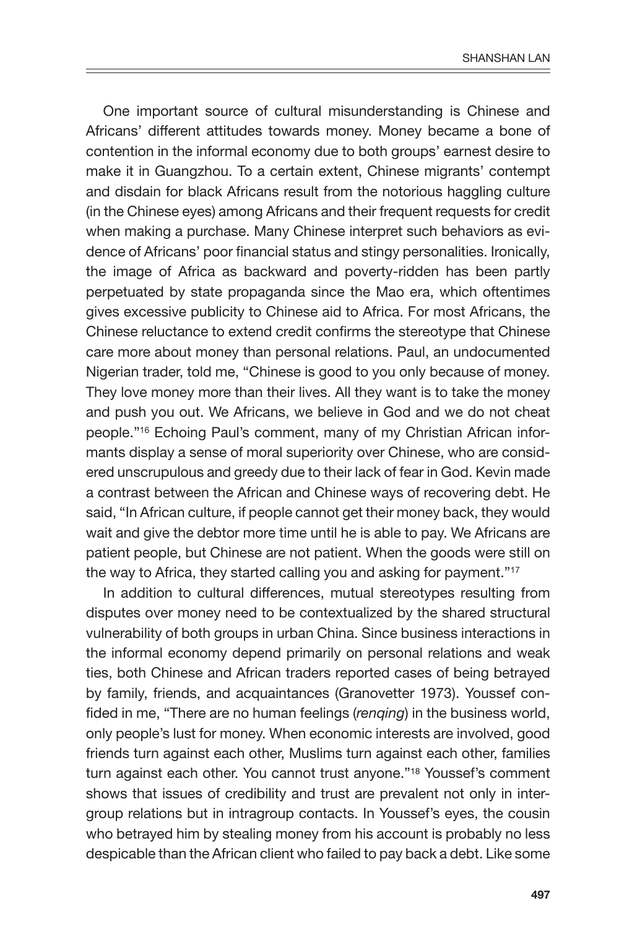One important source of cultural misunderstanding is Chinese and Africans' different attitudes towards money. Money became a bone of contention in the informal economy due to both groups' earnest desire to make it in Guangzhou. To a certain extent, Chinese migrants' contempt and disdain for black Africans result from the notorious haggling culture (in the Chinese eyes) among Africans and their frequent requests for credit when making a purchase. Many Chinese interpret such behaviors as evidence of Africans' poor financial status and stingy personalities. Ironically, the image of Africa as backward and poverty-ridden has been partly perpetuated by state propaganda since the Mao era, which oftentimes gives excessive publicity to Chinese aid to Africa. For most Africans, the Chinese reluctance to extend credit confirms the stereotype that Chinese care more about money than personal relations. Paul, an undocumented Nigerian trader, told me, "Chinese is good to you only because of money. They love money more than their lives. All they want is to take the money and push you out. We Africans, we believe in God and we do not cheat people."16 Echoing Paul's comment, many of my Christian African informants display a sense of moral superiority over Chinese, who are considered unscrupulous and greedy due to their lack of fear in God. Kevin made a contrast between the African and Chinese ways of recovering debt. He said, "In African culture, if people cannot get their money back, they would wait and give the debtor more time until he is able to pay. We Africans are patient people, but Chinese are not patient. When the goods were still on the way to Africa, they started calling you and asking for payment."<sup>17</sup>

In addition to cultural differences, mutual stereotypes resulting from disputes over money need to be contextualized by the shared structural vulnerability of both groups in urban China. Since business interactions in the informal economy depend primarily on personal relations and weak ties, both Chinese and African traders reported cases of being betrayed by family, friends, and acquaintances (Granovetter 1973). Youssef confided in me, "There are no human feelings (*renqing*) in the business world, only people's lust for money. When economic interests are involved, good friends turn against each other, Muslims turn against each other, families turn against each other. You cannot trust anyone."18 Youssef's comment shows that issues of credibility and trust are prevalent not only in intergroup relations but in intragroup contacts. In Youssef's eyes, the cousin who betrayed him by stealing money from his account is probably no less despicable than the African client who failed to pay back a debt. Like some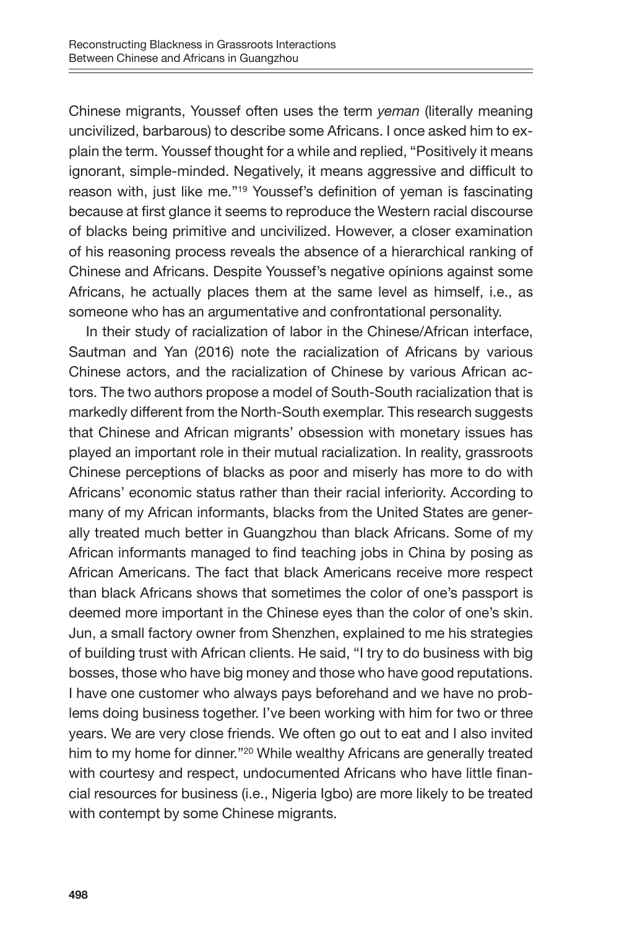Chinese migrants, Youssef often uses the term *yeman* (literally meaning uncivilized, barbarous) to describe some Africans. I once asked him to explain the term. Youssef thought for a while and replied, "Positively it means ignorant, simple-minded. Negatively, it means aggressive and difficult to reason with, just like me."19 Youssef's definition of yeman is fascinating because at first glance it seems to reproduce the Western racial discourse of blacks being primitive and uncivilized. However, a closer examination of his reasoning process reveals the absence of a hierarchical ranking of Chinese and Africans. Despite Youssef's negative opinions against some Africans, he actually places them at the same level as himself, i.e., as someone who has an argumentative and confrontational personality.

In their study of racialization of labor in the Chinese/African interface, Sautman and Yan (2016) note the racialization of Africans by various Chinese actors, and the racialization of Chinese by various African actors. The two authors propose a model of South-South racialization that is markedly different from the North-South exemplar. This research suggests that Chinese and African migrants' obsession with monetary issues has played an important role in their mutual racialization. In reality, grassroots Chinese perceptions of blacks as poor and miserly has more to do with Africans' economic status rather than their racial inferiority. According to many of my African informants, blacks from the United States are generally treated much better in Guangzhou than black Africans. Some of my African informants managed to find teaching jobs in China by posing as African Americans. The fact that black Americans receive more respect than black Africans shows that sometimes the color of one's passport is deemed more important in the Chinese eyes than the color of one's skin. Jun, a small factory owner from Shenzhen, explained to me his strategies of building trust with African clients. He said, "I try to do business with big bosses, those who have big money and those who have good reputations. I have one customer who always pays beforehand and we have no problems doing business together. I've been working with him for two or three years. We are very close friends. We often go out to eat and I also invited him to my home for dinner."<sup>20</sup> While wealthy Africans are generally treated with courtesy and respect, undocumented Africans who have little financial resources for business (i.e., Nigeria Igbo) are more likely to be treated with contempt by some Chinese migrants.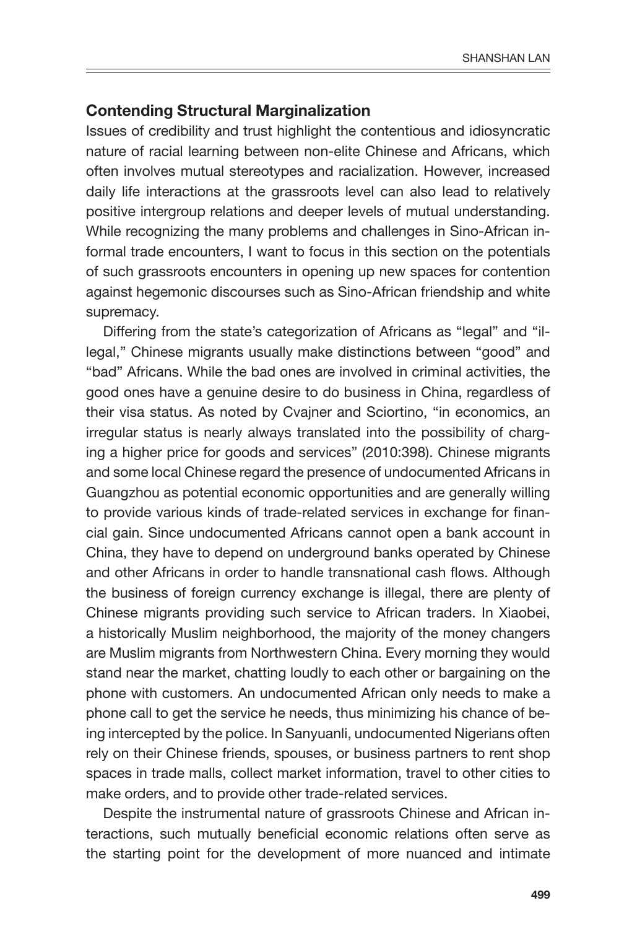#### **Contending Structural Marginalization**

Issues of credibility and trust highlight the contentious and idiosyncratic nature of racial learning between non-elite Chinese and Africans, which often involves mutual stereotypes and racialization. However, increased daily life interactions at the grassroots level can also lead to relatively positive intergroup relations and deeper levels of mutual understanding. While recognizing the many problems and challenges in Sino-African informal trade encounters, I want to focus in this section on the potentials of such grassroots encounters in opening up new spaces for contention against hegemonic discourses such as Sino-African friendship and white supremacy.

Differing from the state's categorization of Africans as "legal" and "illegal," Chinese migrants usually make distinctions between "good" and "bad" Africans. While the bad ones are involved in criminal activities, the good ones have a genuine desire to do business in China, regardless of their visa status. As noted by Cvajner and Sciortino, "in economics, an irregular status is nearly always translated into the possibility of charging a higher price for goods and services" (2010:398). Chinese migrants and some local Chinese regard the presence of undocumented Africans in Guangzhou as potential economic opportunities and are generally willing to provide various kinds of trade-related services in exchange for financial gain. Since undocumented Africans cannot open a bank account in China, they have to depend on underground banks operated by Chinese and other Africans in order to handle transnational cash flows. Although the business of foreign currency exchange is illegal, there are plenty of Chinese migrants providing such service to African traders. In Xiaobei, a historically Muslim neighborhood, the majority of the money changers are Muslim migrants from Northwestern China. Every morning they would stand near the market, chatting loudly to each other or bargaining on the phone with customers. An undocumented African only needs to make a phone call to get the service he needs, thus minimizing his chance of being intercepted by the police. In Sanyuanli, undocumented Nigerians often rely on their Chinese friends, spouses, or business partners to rent shop spaces in trade malls, collect market information, travel to other cities to make orders, and to provide other trade-related services.

Despite the instrumental nature of grassroots Chinese and African interactions, such mutually beneficial economic relations often serve as the starting point for the development of more nuanced and intimate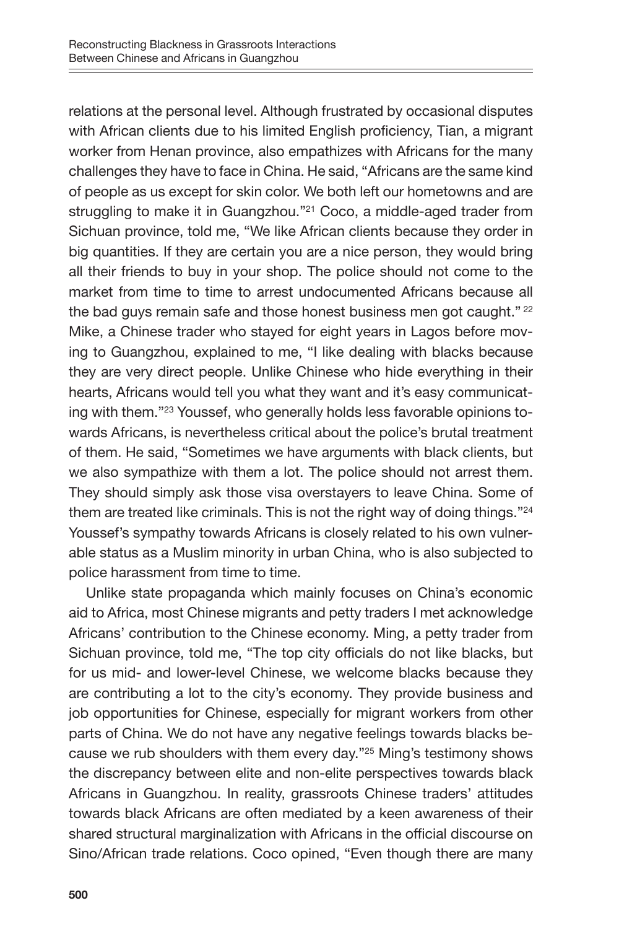relations at the personal level. Although frustrated by occasional disputes with African clients due to his limited English proficiency, Tian, a migrant worker from Henan province, also empathizes with Africans for the many challenges they have to face in China. He said, "Africans are the same kind of people as us except for skin color. We both left our hometowns and are struggling to make it in Guangzhou."<sup>21</sup> Coco, a middle-aged trader from Sichuan province, told me, "We like African clients because they order in big quantities. If they are certain you are a nice person, they would bring all their friends to buy in your shop. The police should not come to the market from time to time to arrest undocumented Africans because all the bad guys remain safe and those honest business men got caught."<sup>22</sup> Mike, a Chinese trader who stayed for eight years in Lagos before moving to Guangzhou, explained to me, "I like dealing with blacks because they are very direct people. Unlike Chinese who hide everything in their hearts, Africans would tell you what they want and it's easy communicating with them."23 Youssef, who generally holds less favorable opinions towards Africans, is nevertheless critical about the police's brutal treatment of them. He said, "Sometimes we have arguments with black clients, but we also sympathize with them a lot. The police should not arrest them. They should simply ask those visa overstayers to leave China. Some of them are treated like criminals. This is not the right way of doing things."<sup>24</sup> Youssef's sympathy towards Africans is closely related to his own vulnerable status as a Muslim minority in urban China, who is also subjected to police harassment from time to time.

Unlike state propaganda which mainly focuses on China's economic aid to Africa, most Chinese migrants and petty traders I met acknowledge Africans' contribution to the Chinese economy. Ming, a petty trader from Sichuan province, told me, "The top city officials do not like blacks, but for us mid- and lower-level Chinese, we welcome blacks because they are contributing a lot to the city's economy. They provide business and job opportunities for Chinese, especially for migrant workers from other parts of China. We do not have any negative feelings towards blacks because we rub shoulders with them every day."25 Ming's testimony shows the discrepancy between elite and non-elite perspectives towards black Africans in Guangzhou. In reality, grassroots Chinese traders' attitudes towards black Africans are often mediated by a keen awareness of their shared structural marginalization with Africans in the official discourse on Sino/African trade relations. Coco opined, "Even though there are many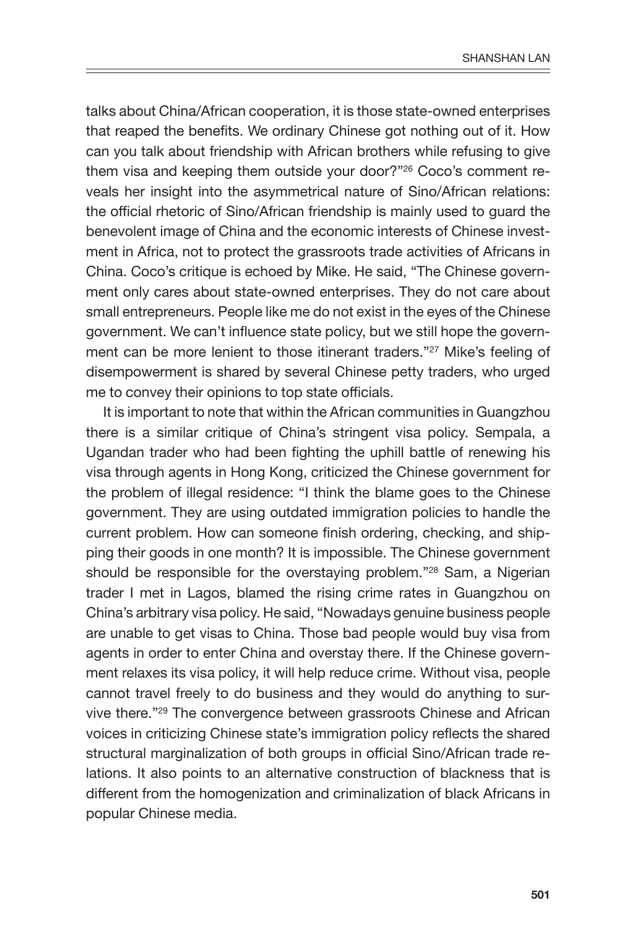talks about China/African cooperation, it is those state-owned enterprises that reaped the benefits. We ordinary Chinese got nothing out of it. How can you talk about friendship with African brothers while refusing to give them visa and keeping them outside your door?"26 Coco's comment reveals her insight into the asymmetrical nature of Sino/African relations: the official rhetoric of Sino/African friendship is mainly used to guard the benevolent image of China and the economic interests of Chinese investment in Africa, not to protect the grassroots trade activities of Africans in China. Coco's critique is echoed by Mike. He said, "The Chinese government only cares about state-owned enterprises. They do not care about small entrepreneurs. People like me do not exist in the eyes of the Chinese government. We can't influence state policy, but we still hope the government can be more lenient to those itinerant traders."<sup>27</sup> Mike's feeling of disempowerment is shared by several Chinese petty traders, who urged me to convey their opinions to top state officials.

It is important to note that within the African communities in Guangzhou there is a similar critique of China's stringent visa policy. Sempala, a Ugandan trader who had been fighting the uphill battle of renewing his visa through agents in Hong Kong, criticized the Chinese government for the problem of illegal residence: "I think the blame goes to the Chinese government. They are using outdated immigration policies to handle the current problem. How can someone finish ordering, checking, and shipping their goods in one month? It is impossible. The Chinese government should be responsible for the overstaying problem."<sup>28</sup> Sam, a Nigerian trader I met in Lagos, blamed the rising crime rates in Guangzhou on China's arbitrary visa policy. He said, "Nowadays genuine business people are unable to get visas to China. Those bad people would buy visa from agents in order to enter China and overstay there. If the Chinese government relaxes its visa policy, it will help reduce crime. Without visa, people cannot travel freely to do business and they would do anything to survive there."29 The convergence between grassroots Chinese and African voices in criticizing Chinese state's immigration policy reflects the shared structural marginalization of both groups in official Sino/African trade relations. It also points to an alternative construction of blackness that is different from the homogenization and criminalization of black Africans in popular Chinese media.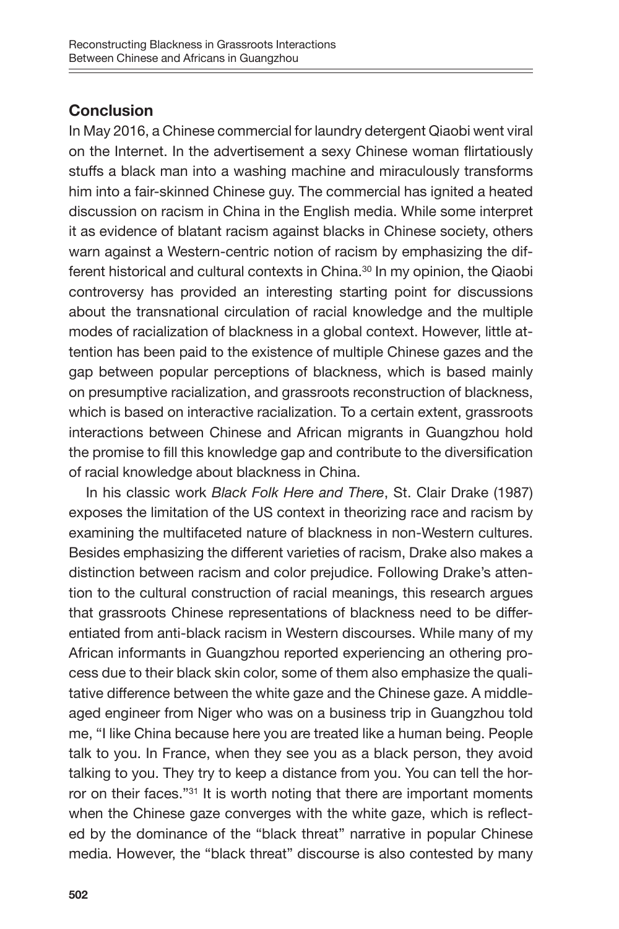## **Conclusion**

In May 2016, a Chinese commercial for laundry detergent Qiaobi went viral on the Internet. In the advertisement a sexy Chinese woman flirtatiously stuffs a black man into a washing machine and miraculously transforms him into a fair-skinned Chinese guy. The commercial has ignited a heated discussion on racism in China in the English media. While some interpret it as evidence of blatant racism against blacks in Chinese society, others warn against a Western-centric notion of racism by emphasizing the different historical and cultural contexts in China.<sup>30</sup> In my opinion, the Qiaobi controversy has provided an interesting starting point for discussions about the transnational circulation of racial knowledge and the multiple modes of racialization of blackness in a global context. However, little attention has been paid to the existence of multiple Chinese gazes and the gap between popular perceptions of blackness, which is based mainly on presumptive racialization, and grassroots reconstruction of blackness, which is based on interactive racialization. To a certain extent, grassroots interactions between Chinese and African migrants in Guangzhou hold the promise to fill this knowledge gap and contribute to the diversification of racial knowledge about blackness in China.

In his classic work *Black Folk Here and There*, St. Clair Drake (1987) exposes the limitation of the US context in theorizing race and racism by examining the multifaceted nature of blackness in non-Western cultures. Besides emphasizing the different varieties of racism, Drake also makes a distinction between racism and color prejudice. Following Drake's attention to the cultural construction of racial meanings, this research argues that grassroots Chinese representations of blackness need to be differentiated from anti-black racism in Western discourses. While many of my African informants in Guangzhou reported experiencing an othering process due to their black skin color, some of them also emphasize the qualitative difference between the white gaze and the Chinese gaze. A middleaged engineer from Niger who was on a business trip in Guangzhou told me, "I like China because here you are treated like a human being. People talk to you. In France, when they see you as a black person, they avoid talking to you. They try to keep a distance from you. You can tell the horror on their faces."31 It is worth noting that there are important moments when the Chinese gaze converges with the white gaze, which is reflected by the dominance of the "black threat" narrative in popular Chinese media. However, the "black threat" discourse is also contested by many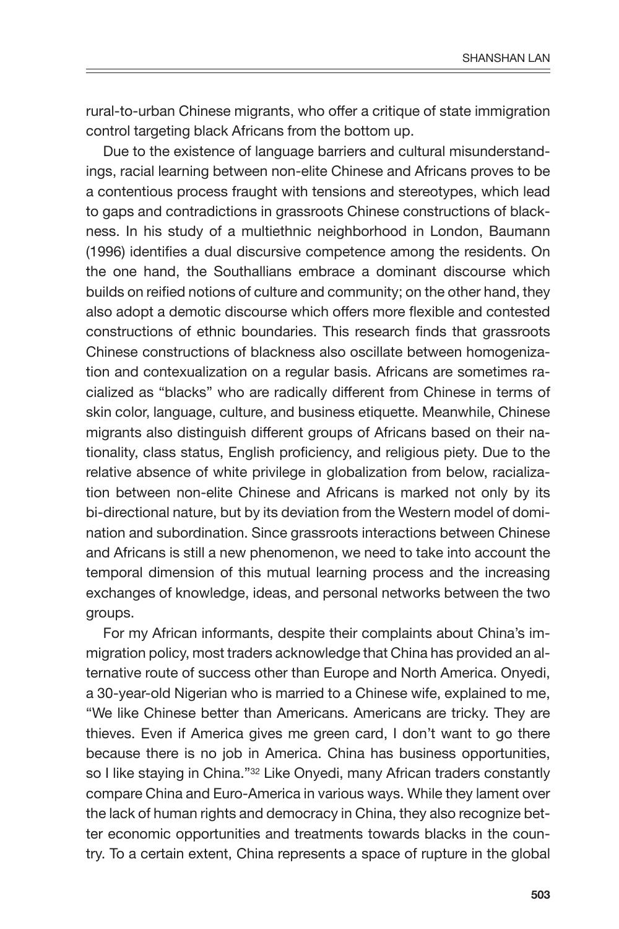rural-to-urban Chinese migrants, who offer a critique of state immigration control targeting black Africans from the bottom up.

Due to the existence of language barriers and cultural misunderstandings, racial learning between non-elite Chinese and Africans proves to be a contentious process fraught with tensions and stereotypes, which lead to gaps and contradictions in grassroots Chinese constructions of blackness. In his study of a multiethnic neighborhood in London, Baumann (1996) identifies a dual discursive competence among the residents. On the one hand, the Southallians embrace a dominant discourse which builds on reified notions of culture and community; on the other hand, they also adopt a demotic discourse which offers more flexible and contested constructions of ethnic boundaries. This research finds that grassroots Chinese constructions of blackness also oscillate between homogenization and contexualization on a regular basis. Africans are sometimes racialized as "blacks" who are radically different from Chinese in terms of skin color, language, culture, and business etiquette. Meanwhile, Chinese migrants also distinguish different groups of Africans based on their nationality, class status, English proficiency, and religious piety. Due to the relative absence of white privilege in globalization from below, racialization between non-elite Chinese and Africans is marked not only by its bi-directional nature, but by its deviation from the Western model of domination and subordination. Since grassroots interactions between Chinese and Africans is still a new phenomenon, we need to take into account the temporal dimension of this mutual learning process and the increasing exchanges of knowledge, ideas, and personal networks between the two groups.

For my African informants, despite their complaints about China's immigration policy, most traders acknowledge that China has provided an alternative route of success other than Europe and North America. Onyedi, a 30-year-old Nigerian who is married to a Chinese wife, explained to me, "We like Chinese better than Americans. Americans are tricky. They are thieves. Even if America gives me green card, I don't want to go there because there is no job in America. China has business opportunities, so I like staying in China."<sup>32</sup> Like Onyedi, many African traders constantly compare China and Euro-America in various ways. While they lament over the lack of human rights and democracy in China, they also recognize better economic opportunities and treatments towards blacks in the country. To a certain extent, China represents a space of rupture in the global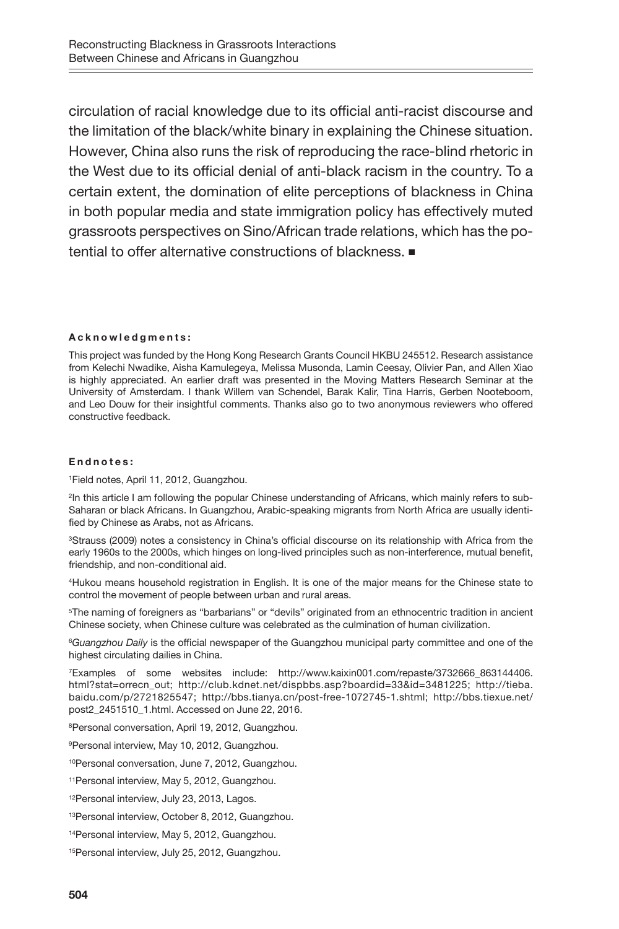circulation of racial knowledge due to its official anti-racist discourse and the limitation of the black/white binary in explaining the Chinese situation. However, China also runs the risk of reproducing the race-blind rhetoric in the West due to its official denial of anti-black racism in the country. To a certain extent, the domination of elite perceptions of blackness in China in both popular media and state immigration policy has effectively muted grassroots perspectives on Sino/African trade relations, which has the potential to offer alternative constructions of blackness.  $\blacksquare$ 

#### **Acknowledgments:**

This project was funded by the Hong Kong Research Grants Council HKBU 245512. Research assistance from Kelechi Nwadike, Aisha Kamulegeya, Melissa Musonda, Lamin Ceesay, Olivier Pan, and Allen Xiao is highly appreciated. An earlier draft was presented in the Moving Matters Research Seminar at the University of Amsterdam. I thank Willem van Schendel, Barak Kalir, Tina Harris, Gerben Nooteboom, and Leo Douw for their insightful comments. Thanks also go to two anonymous reviewers who offered constructive feedback.

#### **Endnotes:**

1Field notes, April 11, 2012, Guangzhou.

<sup>2</sup>In this article I am following the popular Chinese understanding of Africans, which mainly refers to sub-Saharan or black Africans. In Guangzhou, Arabic-speaking migrants from North Africa are usually identified by Chinese as Arabs, not as Africans.

<sup>3</sup>Strauss (2009) notes a consistency in China's official discourse on its relationship with Africa from the early 1960s to the 2000s, which hinges on long-lived principles such as non-interference, mutual benefit, friendship, and non-conditional aid.

4Hukou means household registration in English. It is one of the major means for the Chinese state to control the movement of people between urban and rural areas.

5The naming of foreigners as "barbarians" or "devils" originated from an ethnocentric tradition in ancient Chinese society, when Chinese culture was celebrated as the culmination of human civilization.

<sup>6</sup>*Guangzhou Daily* is the official newspaper of the Guangzhou municipal party committee and one of the highest circulating dailies in China.

7Examples of some websites include: http://www.kaixin001.com/repaste/3732666\_863144406. html?stat=orrecn\_out; http://club.kdnet.net/dispbbs.asp?boardid=33&id=3481225; http://tieba. baidu.com/p/2721825547; http://bbs.tianya.cn/post-free-1072745-1.shtml; http://bbs.tiexue.net/ post2\_2451510\_1.html. Accessed on June 22, 2016.

8Personal conversation, April 19, 2012, Guangzhou.

9Personal interview, May 10, 2012, Guangzhou.

<sup>10</sup>Personal conversation, June 7, 2012, Guangzhou.

11Personal interview, May 5, 2012, Guangzhou.

12Personal interview, July 23, 2013, Lagos.

13Personal interview, October 8, 2012, Guangzhou.

14Personal interview, May 5, 2012, Guangzhou.

15Personal interview, July 25, 2012, Guangzhou.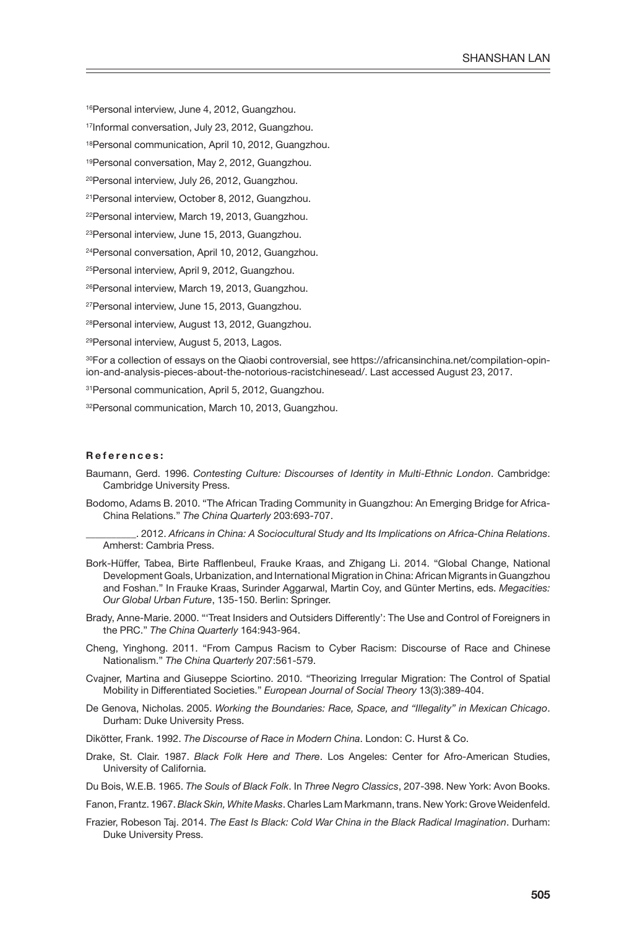<sup>16</sup>Personal interview, June 4, 2012, Guangzhou.

17Informal conversation, July 23, 2012, Guangzhou.

18Personal communication, April 10, 2012, Guangzhou.

<sup>19</sup>Personal conversation, May 2, 2012, Guangzhou.

20Personal interview, July 26, 2012, Guangzhou.

21Personal interview, October 8, 2012, Guangzhou.

22Personal interview, March 19, 2013, Guangzhou.

23Personal interview, June 15, 2013, Guangzhou.

24Personal conversation, April 10, 2012, Guangzhou.

25Personal interview, April 9, 2012, Guangzhou.

26Personal interview, March 19, 2013, Guangzhou.

<sup>27</sup>Personal interview, June 15, 2013, Guangzhou.

28Personal interview, August 13, 2012, Guangzhou.

29Personal interview, August 5, 2013, Lagos.

30For a collection of essays on the Qiaobi controversial, see https://africansinchina.net/compilation-opinion-and-analysis-pieces-about-the-notorious-racistchinesead/. Last accessed August 23, 2017.

31Personal communication, April 5, 2012, Guangzhou.

32Personal communication, March 10, 2013, Guangzhou.

#### **References:**

- Baumann, Gerd. 1996. *Contesting Culture: Discourses of Identity in Multi-Ethnic London*. Cambridge: Cambridge University Press.
- Bodomo, Adams B. 2010. "The African Trading Community in Guangzhou: An Emerging Bridge for Africa-China Relations." *The China Quarterly* 203:693-707.

\_\_\_\_\_\_\_\_\_\_. 2012. *Africans in China: A Sociocultural Study and Its Implications on Africa-China Relations*. Amherst: Cambria Press.

- Bork-Hüffer, Tabea, Birte Rafflenbeul, Frauke Kraas, and Zhigang Li. 2014. "Global Change, National Development Goals, Urbanization, and International Migration in China: African Migrants in Guangzhou and Foshan." In Frauke Kraas, Surinder Aggarwal, Martin Coy, and Günter Mertins, eds. *Megacities: Our Global Urban Future*, 135-150. Berlin: Springer.
- Brady, Anne-Marie. 2000. "'Treat Insiders and Outsiders Differently': The Use and Control of Foreigners in the PRC." *The China Quarterly* 164:943-964.
- Cheng, Yinghong. 2011. "From Campus Racism to Cyber Racism: Discourse of Race and Chinese Nationalism." *The China Quarterly* 207:561-579.
- Cvajner, Martina and Giuseppe Sciortino. 2010. "Theorizing Irregular Migration: The Control of Spatial Mobility in Differentiated Societies." *European Journal of Social Theory* 13(3):389-404.
- De Genova, Nicholas. 2005. *Working the Boundaries: Race, Space, and "Illegality" in Mexican Chicago*. Durham: Duke University Press.
- Dikötter, Frank. 1992. *The Discourse of Race in Modern China*. London: C. Hurst & Co.
- Drake, St. Clair. 1987. *Black Folk Here and There*. Los Angeles: Center for Afro-American Studies, University of California.

Du Bois, W.E.B. 1965. *The Souls of Black Folk*. In *Three Negro Classics*, 207-398. New York: Avon Books.

Fanon, Frantz. 1967. *Black Skin, White Masks*. Charles Lam Markmann, trans. New York: Grove Weidenfeld.

Frazier, Robeson Taj. 2014. *The East Is Black: Cold War China in the Black Radical Imagination*. Durham: Duke University Press.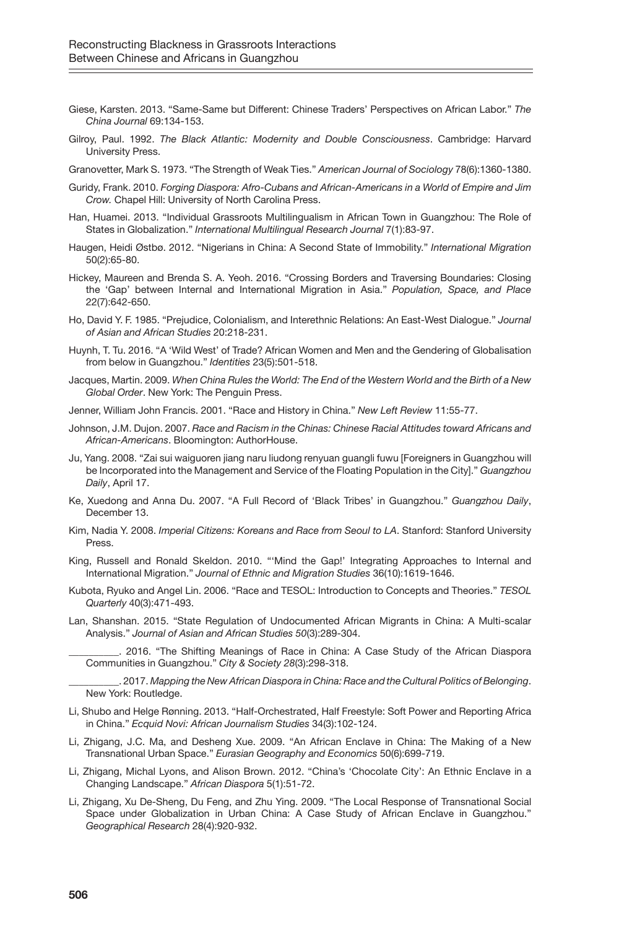- Giese, Karsten. 2013. "Same-Same but Different: Chinese Traders' Perspectives on African Labor." *The China Journal* 69:134-153.
- Gilroy, Paul. 1992. *The Black Atlantic: Modernity and Double Consciousness*. Cambridge: Harvard University Press.
- Granovetter, Mark S. 1973. "The Strength of Weak Ties." *American Journal of Sociology* 78(6):1360-1380.
- Guridy, Frank. 2010. *Forging Diaspora: Afro-Cubans and African-Americans in a World of Empire and Jim Crow.* Chapel Hill: University of North Carolina Press.
- Han, Huamei. 2013. "Individual Grassroots Multilingualism in African Town in Guangzhou: The Role of States in Globalization." *International Multilingual Research Journal* 7(1):83-97.
- Haugen, Heidi Østbø. 2012. "Nigerians in China: A Second State of Immobility." *International Migration* 50(2):65-80.
- Hickey, Maureen and Brenda S. A. Yeoh. 2016. "Crossing Borders and Traversing Boundaries: Closing the 'Gap' between Internal and International Migration in Asia." *Population, Space, and Place* 22(7):642-650.
- Ho, David Y. F. 1985. "Prejudice, Colonialism, and Interethnic Relations: An East-West Dialogue." *Journal of Asian and African Studies* 20:218-231.
- Huynh, T. Tu. 2016. "A 'Wild West' of Trade? African Women and Men and the Gendering of Globalisation from below in Guangzhou." *Identities* 23(5):501-518.
- Jacques, Martin. 2009. *When China Rules the World: The End of the Western World and the Birth of a New Global Order*. New York: The Penguin Press.
- Jenner, William John Francis. 2001. "Race and History in China." *New Left Review* 11:55-77.
- Johnson, J.M. Dujon. 2007. *Race and Racism in the Chinas: Chinese Racial Attitudes toward Africans and African-Americans*. Bloomington: AuthorHouse.
- Ju, Yang. 2008. "Zai sui waiguoren jiang naru liudong renyuan guangli fuwu [Foreigners in Guangzhou will be Incorporated into the Management and Service of the Floating Population in the City]." *Guangzhou Daily*, April 17.
- Ke, Xuedong and Anna Du. 2007. "A Full Record of 'Black Tribes' in Guangzhou." *Guangzhou Daily*, December 13.
- Kim, Nadia Y. 2008. *Imperial Citizens: Koreans and Race from Seoul to LA*. Stanford: Stanford University Press.
- King, Russell and Ronald Skeldon. 2010. "'Mind the Gap!' Integrating Approaches to Internal and International Migration." *Journal of Ethnic and Migration Studies* 36(10):1619-1646.
- Kubota, Ryuko and Angel Lin. 2006. "Race and TESOL: Introduction to Concepts and Theories." *TESOL Quarterly* 40(3):471-493.
- Lan, Shanshan. 2015. "State Regulation of Undocumented African Migrants in China: A Multi-scalar Analysis." *Journal of Asian and African Studies 50*(3):289-304.

\_\_\_\_\_\_\_\_\_\_. 2016. "The Shifting Meanings of Race in China: A Case Study of the African Diaspora Communities in Guangzhou." *City & Society 28*(3):298-318.

\_\_\_\_\_\_\_\_\_\_. 2017. *Mapping the New African Diaspora in China: Race and the Cultural Politics of Belonging*. New York: Routledge.

- Li, Shubo and Helge Rønning. 2013. "Half-Orchestrated, Half Freestyle: Soft Power and Reporting Africa in China." *Ecquid Novi: African Journalism Studies* 34(3):102-124.
- Li, Zhigang, J.C. Ma, and Desheng Xue. 2009. "An African Enclave in China: The Making of a New Transnational Urban Space." *Eurasian Geography and Economics* 50(6):699-719.
- Li, Zhigang, Michal Lyons, and Alison Brown. 2012. "China's 'Chocolate City': An Ethnic Enclave in a Changing Landscape." *African Diaspora* 5(1):51-72.
- Li, Zhigang, Xu De-Sheng, Du Feng, and Zhu Ying. 2009. "The Local Response of Transnational Social Space under Globalization in Urban China: A Case Study of African Enclave in Guangzhou." *Geographical Research* 28(4):920-932.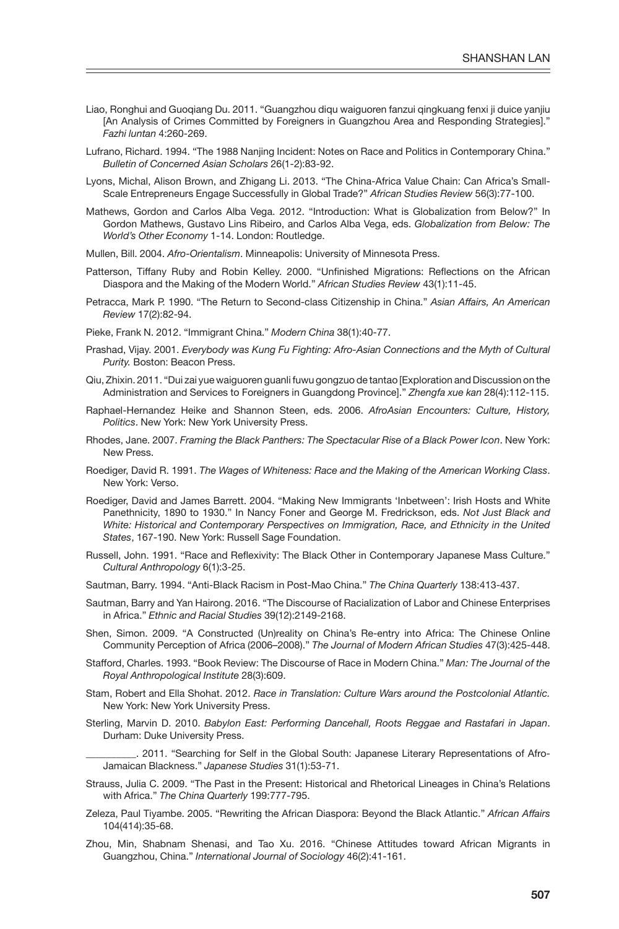- Liao, Ronghui and Guoqiang Du. 2011. "Guangzhou diqu waiguoren fanzui qingkuang fenxi ji duice yanjiu [An Analysis of Crimes Committed by Foreigners in Guangzhou Area and Responding Strategies]." *Fazhi luntan* 4:260-269.
- Lufrano, Richard. 1994. "The 1988 Nanjing Incident: Notes on Race and Politics in Contemporary China." *Bulletin of Concerned Asian Scholars* 26(1-2):83-92.
- Lyons, Michal, Alison Brown, and Zhigang Li. 2013. "The China-Africa Value Chain: Can Africa's Small-Scale Entrepreneurs Engage Successfully in Global Trade?" *African Studies Review* 56(3):77-100.
- Mathews, Gordon and Carlos Alba Vega. 2012. "Introduction: What is Globalization from Below?" In Gordon Mathews, Gustavo Lins Ribeiro, and Carlos Alba Vega, eds. *Globalization from Below: The World's Other Economy* 1-14. London: Routledge.
- Mullen, Bill. 2004. *Afro-Orientalism*. Minneapolis: University of Minnesota Press.
- Patterson, Tiffany Ruby and Robin Kelley. 2000. "Unfinished Migrations: Reflections on the African Diaspora and the Making of the Modern World." *African Studies Review* 43(1):11-45.
- Petracca, Mark P. 1990. "The Return to Second-class Citizenship in China." *Asian Affairs, An American Review* 17(2):82-94.
- Pieke, Frank N. 2012. "Immigrant China." *Modern China* 38(1):40-77.
- Prashad, Vijay. 2001. *Everybody was Kung Fu Fighting: Afro-Asian Connections and the Myth of Cultural Purity.* Boston: Beacon Press.
- Qiu, Zhixin. 2011. "Dui zai yue waiguoren guanli fuwu gongzuo de tantao [Exploration and Discussion on the Administration and Services to Foreigners in Guangdong Province]." *Zhengfa xue kan* 28(4):112-115.
- Raphael-Hernandez Heike and Shannon Steen, eds. 2006. *AfroAsian Encounters: Culture, History, Politics*. New York: New York University Press.
- Rhodes, Jane. 2007. *Framing the Black Panthers: The Spectacular Rise of a Black Power Icon*. New York: New Press.
- Roediger, David R. 1991. *The Wages of Whiteness: Race and the Making of the American Working Class*. New York: Verso.
- Roediger, David and James Barrett. 2004. "Making New Immigrants 'Inbetween': Irish Hosts and White Panethnicity, 1890 to 1930." In Nancy Foner and George M. Fredrickson, eds. *Not Just Black and White: Historical and Contemporary Perspectives on Immigration, Race, and Ethnicity in the United States*, 167-190. New York: Russell Sage Foundation.
- Russell, John. 1991. "Race and Reflexivity: The Black Other in Contemporary Japanese Mass Culture." *Cultural Anthropology* 6(1):3-25.
- Sautman, Barry. 1994. "Anti-Black Racism in Post-Mao China." *The China Quarterly* 138:413-437.
- Sautman, Barry and Yan Hairong. 2016. "The Discourse of Racialization of Labor and Chinese Enterprises in Africa." *Ethnic and Racial Studies* 39(12):2149-2168.
- Shen, Simon. 2009. "A Constructed (Un)reality on China's Re-entry into Africa: The Chinese Online Community Perception of Africa (2006–2008)." *The Journal of Modern African Studies* 47(3):425-448.
- Stafford, Charles. 1993. "Book Review: The Discourse of Race in Modern China." *Man: The Journal of the Royal Anthropological Institute* 28(3):609.
- Stam, Robert and Ella Shohat. 2012. *Race in Translation: Culture Wars around the Postcolonial Atlantic.* New York: New York University Press.
- Sterling, Marvin D. 2010. *Babylon East: Performing Dancehall, Roots Reggae and Rastafari in Japan*. Durham: Duke University Press.

\_\_\_\_\_\_\_\_\_\_. 2011. "Searching for Self in the Global South: Japanese Literary Representations of Afro-Jamaican Blackness." *Japanese Studies* 31(1):53-71.

- Strauss, Julia C. 2009. "The Past in the Present: Historical and Rhetorical Lineages in China's Relations with Africa." *The China Quarterly* 199:777-795.
- Zeleza, Paul Tiyambe. 2005. "Rewriting the African Diaspora: Beyond the Black Atlantic." *African Affairs* 104(414):35-68.
- Zhou, Min, Shabnam Shenasi, and Tao Xu. 2016. "Chinese Attitudes toward African Migrants in Guangzhou, China." *International Journal of Sociology* 46(2):41-161.